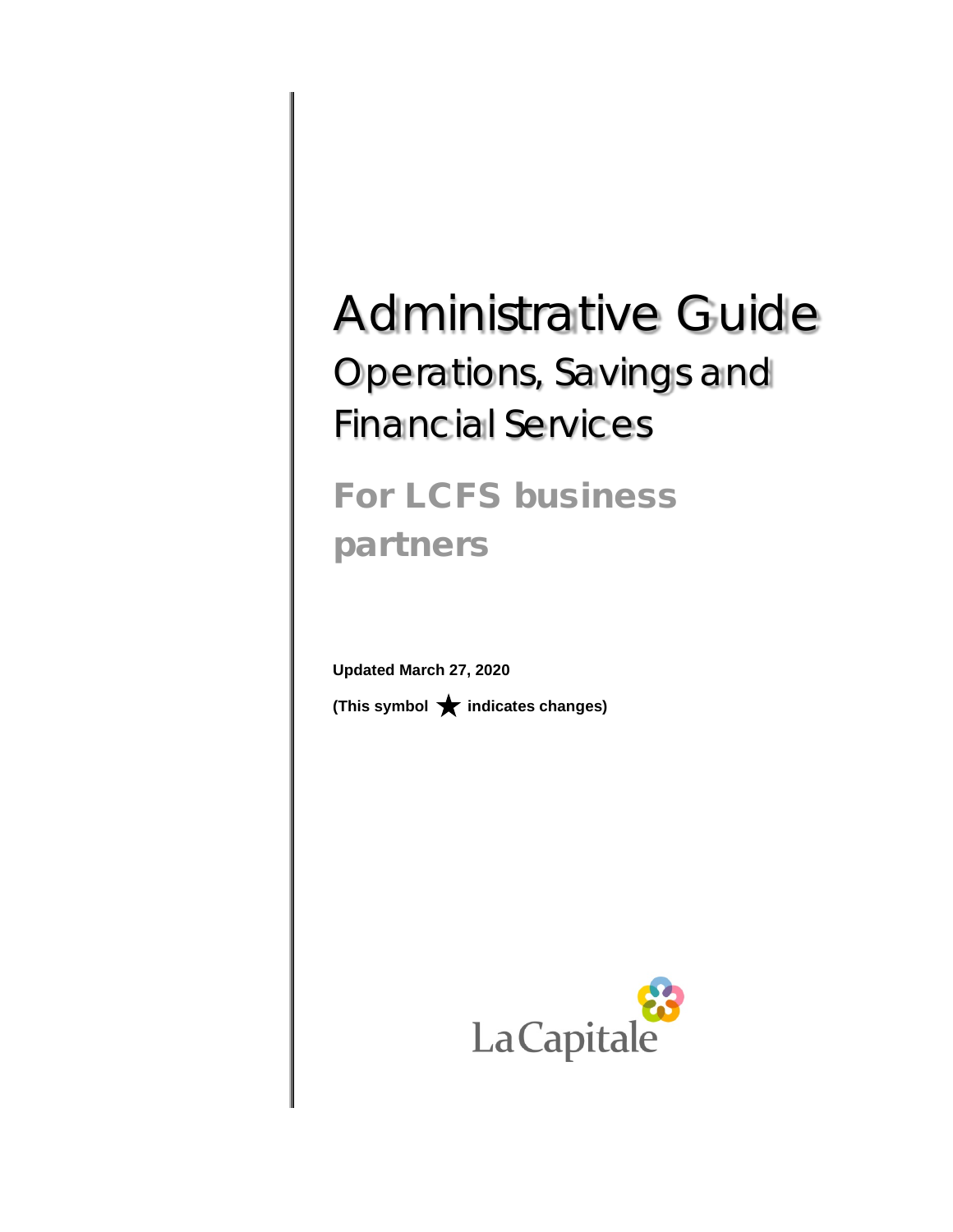# Administrative Guide Operations, Savings and Financial Services

For LCFS business partners

**Updated March 27, 2020 (This symbol indicates changes)**

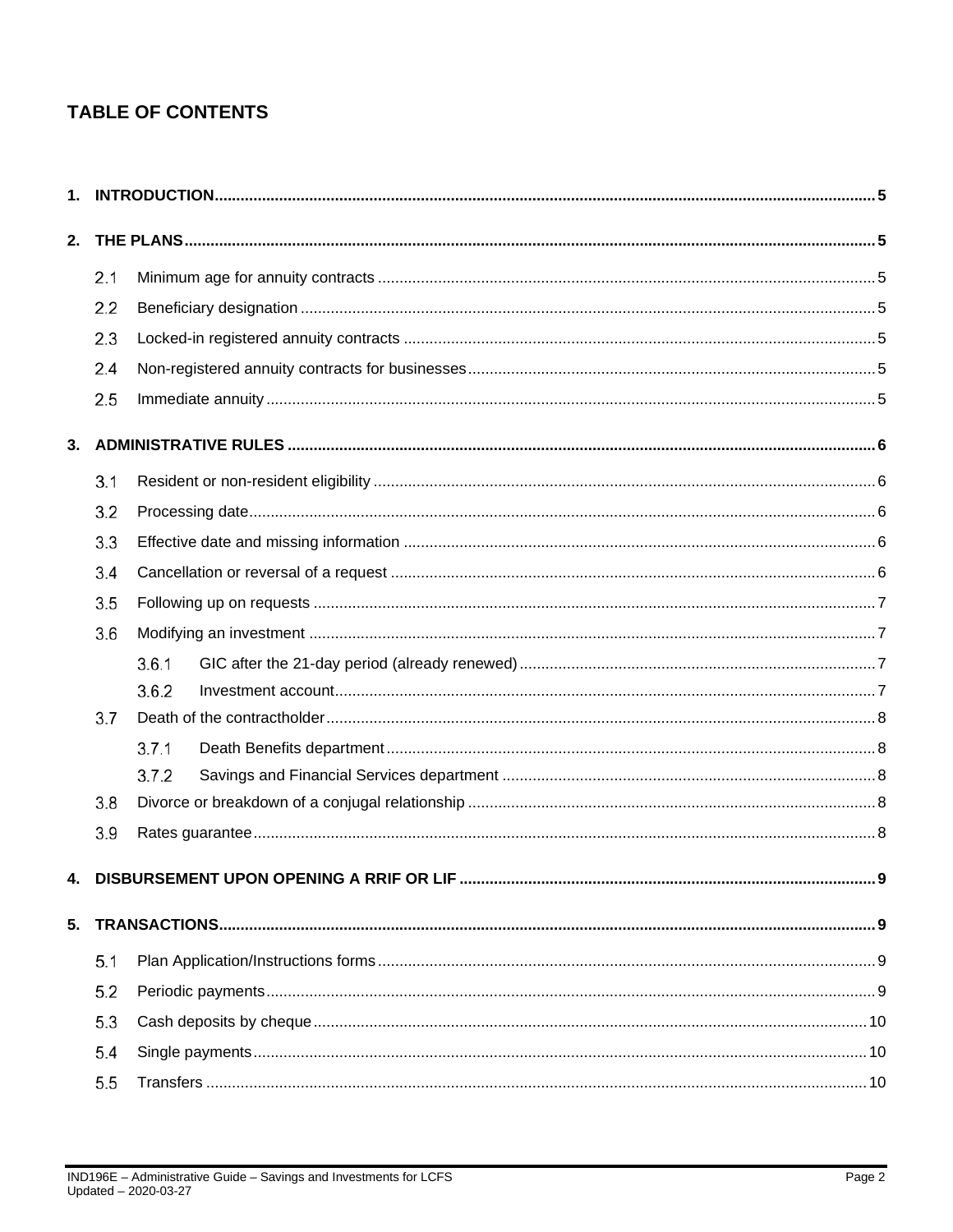# **TABLE OF CONTENTS**

| 2. |     |                                         |   |
|----|-----|-----------------------------------------|---|
|    | 2.1 |                                         |   |
|    | 2.2 |                                         |   |
|    | 2.3 |                                         |   |
|    | 2.4 |                                         |   |
|    | 2.5 |                                         |   |
| 3. |     |                                         |   |
|    | 3.1 |                                         |   |
|    | 3.2 |                                         |   |
|    | 3.3 |                                         |   |
|    | 3.4 |                                         |   |
|    | 3.5 |                                         |   |
|    | 3.6 |                                         |   |
|    |     | 3.6.1                                   |   |
|    |     | 3.6.2                                   |   |
|    | 3.7 |                                         |   |
|    |     | 3.7.1                                   |   |
|    |     | 3.7.2                                   |   |
|    | 3.8 |                                         |   |
|    | 3.9 |                                         |   |
|    |     | DISBURSEMENT UPON OPENING A RRIF OR LIF | 9 |
| 5. |     |                                         |   |
|    | 5.1 |                                         |   |
|    | 5.2 |                                         |   |
|    | 5.3 |                                         |   |
|    | 5.4 |                                         |   |
|    | 5.5 |                                         |   |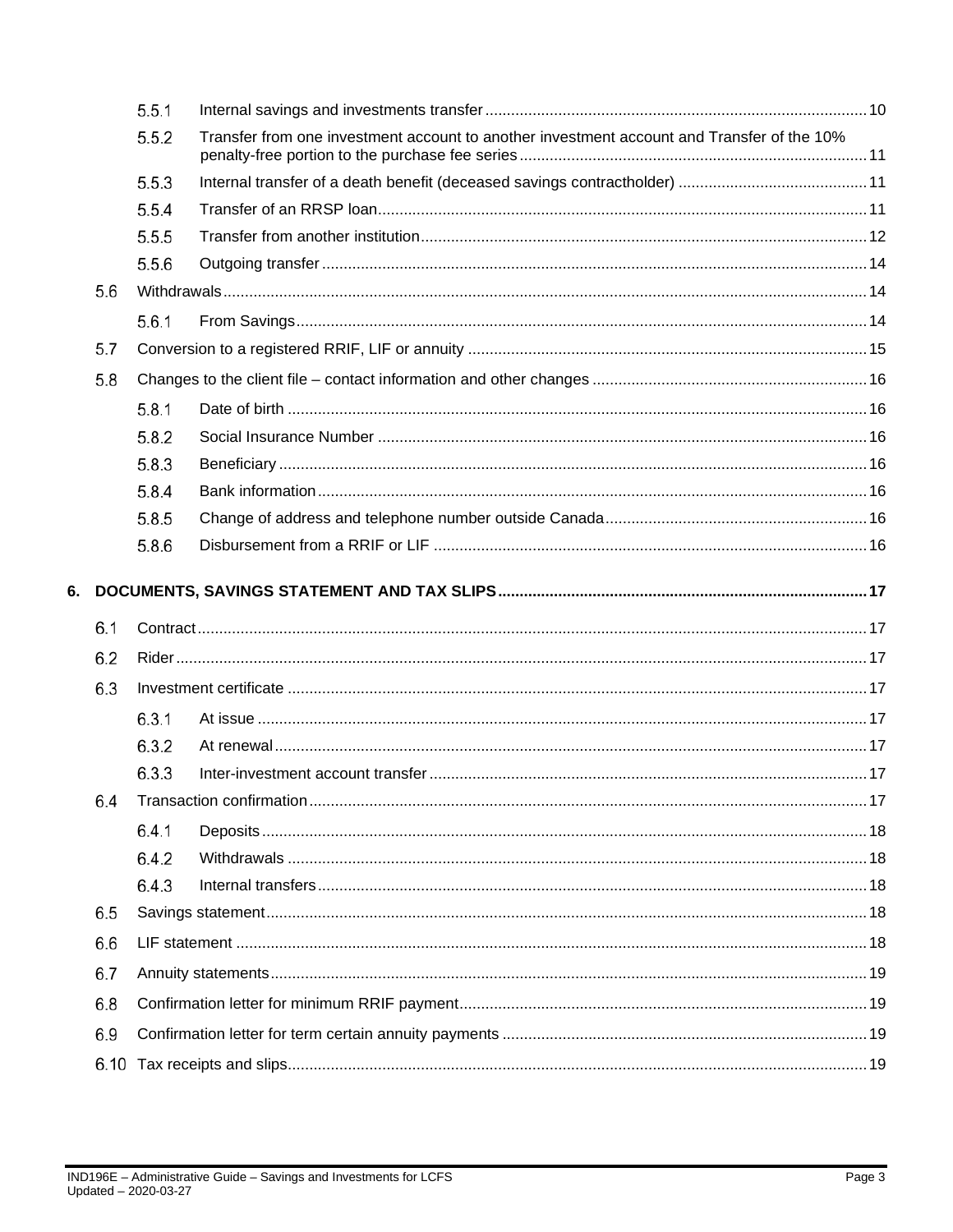|    |     | 5.5.1 |                                                                                            |  |
|----|-----|-------|--------------------------------------------------------------------------------------------|--|
|    |     | 5.5.2 | Transfer from one investment account to another investment account and Transfer of the 10% |  |
|    |     | 5.5.3 |                                                                                            |  |
|    |     | 5.5.4 |                                                                                            |  |
|    |     | 5.5.5 |                                                                                            |  |
|    |     | 5.5.6 |                                                                                            |  |
|    | 5.6 |       |                                                                                            |  |
|    |     | 5.6.1 |                                                                                            |  |
|    | 5.7 |       |                                                                                            |  |
|    | 5.8 |       |                                                                                            |  |
|    |     | 5.8.1 |                                                                                            |  |
|    |     | 5.8.2 |                                                                                            |  |
|    |     | 5.8.3 |                                                                                            |  |
|    |     | 5.8.4 |                                                                                            |  |
|    |     | 5.8.5 |                                                                                            |  |
|    |     | 5.8.6 |                                                                                            |  |
| 6. | 6.1 |       |                                                                                            |  |
|    |     |       |                                                                                            |  |
|    | 6.2 |       |                                                                                            |  |
|    | 6.3 |       |                                                                                            |  |
|    |     | 6.3.1 |                                                                                            |  |
|    |     | 6.3.2 |                                                                                            |  |
|    |     | 6.3.3 |                                                                                            |  |
|    | 6.4 |       |                                                                                            |  |
|    |     | 6.4.1 |                                                                                            |  |
|    |     | 6.4.2 |                                                                                            |  |
|    |     | 6.4.3 |                                                                                            |  |
|    | 6.5 |       |                                                                                            |  |
|    | 6.6 |       |                                                                                            |  |
|    | 6.7 |       |                                                                                            |  |
|    | 6.8 |       |                                                                                            |  |
|    | 6.9 |       |                                                                                            |  |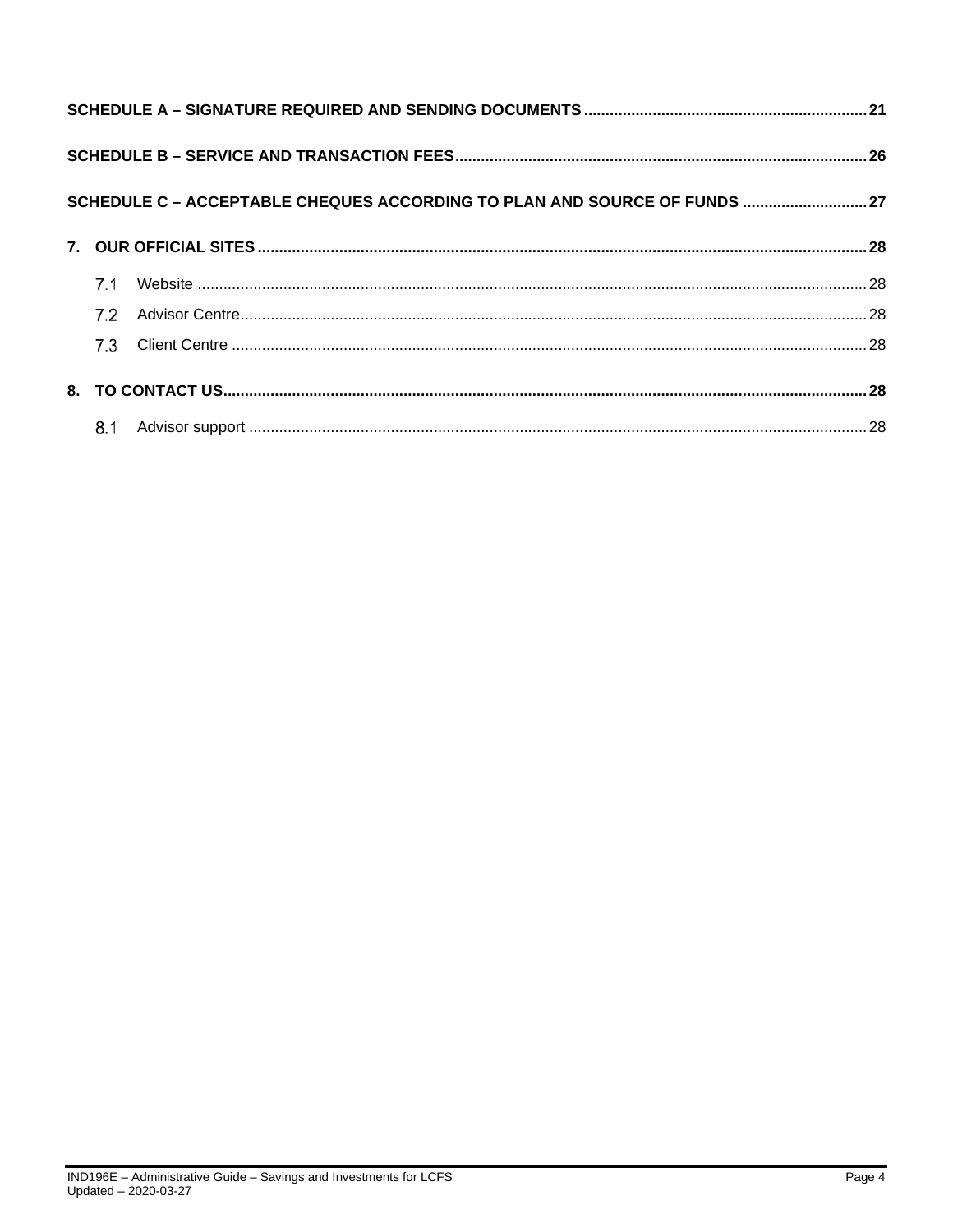|     | SCHEDULE C - ACCEPTABLE CHEQUES ACCORDING TO PLAN AND SOURCE OF FUNDS  27 |  |  |  |  |
|-----|---------------------------------------------------------------------------|--|--|--|--|
|     |                                                                           |  |  |  |  |
| 7.1 |                                                                           |  |  |  |  |
| 7.2 |                                                                           |  |  |  |  |
|     |                                                                           |  |  |  |  |
|     |                                                                           |  |  |  |  |
|     |                                                                           |  |  |  |  |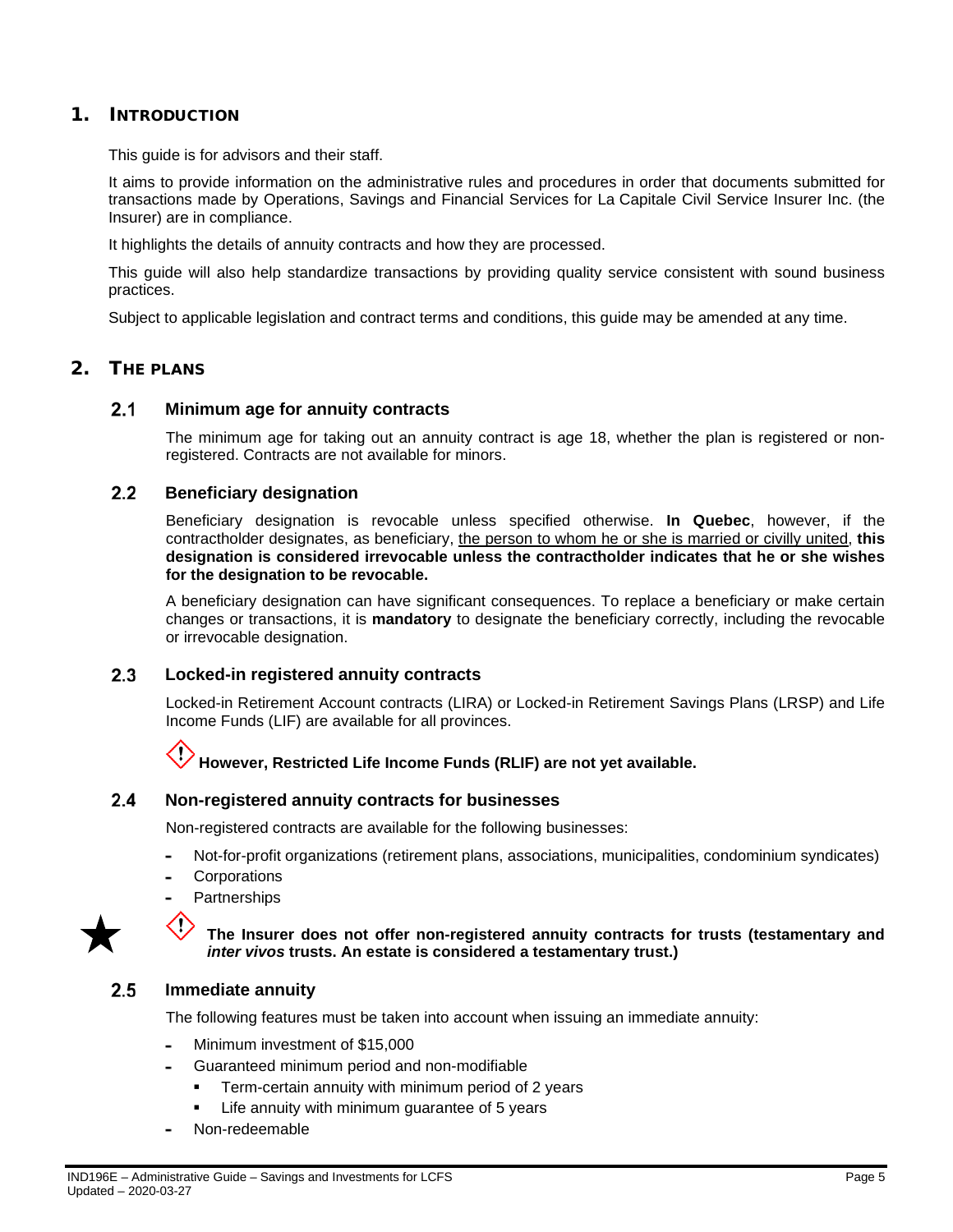### <span id="page-4-0"></span>1. INTRODUCTION

This guide is for advisors and their staff.

It aims to provide information on the administrative rules and procedures in order that documents submitted for transactions made by Operations, Savings and Financial Services for La Capitale Civil Service Insurer Inc. (the Insurer) are in compliance.

It highlights the details of annuity contracts and how they are processed.

This guide will also help standardize transactions by providing quality service consistent with sound business practices.

Subject to applicable legislation and contract terms and conditions, this guide may be amended at any time.

### <span id="page-4-2"></span><span id="page-4-1"></span>2. THE PLANS

#### $2.1$ **Minimum age for annuity contracts**

The minimum age for taking out an annuity contract is age 18, whether the plan is registered or nonregistered. Contracts are not available for minors.

#### <span id="page-4-3"></span> $2.2$ **Beneficiary designation**

Beneficiary designation is revocable unless specified otherwise. **In Quebec**, however, if the contractholder designates, as beneficiary, the person to whom he or she is married or civilly united, **this designation is considered irrevocable unless the contractholder indicates that he or she wishes for the designation to be revocable.**

A beneficiary designation can have significant consequences. To replace a beneficiary or make certain changes or transactions, it is **mandatory** to designate the beneficiary correctly, including the revocable or irrevocable designation.

#### <span id="page-4-4"></span> $2.3$ **Locked-in registered annuity contracts**

Locked-in Retirement Account contracts (LIRA) or Locked-in Retirement Savings Plans (LRSP) and Life Income Funds (LIF) are available for all provinces.

# **However, Restricted Life Income Funds (RLIF) are not yet available.**

#### <span id="page-4-5"></span> $2.4$ **Non-registered annuity contracts for businesses**

Non-registered contracts are available for the following businesses:

- Not-for-profit organizations (retirement plans, associations, municipalities, condominium syndicates)
- **Corporations**
- **Partnerships**



### **The Insurer does not offer non-registered annuity contracts for trusts (testamentary and**  *inter vivos* **trusts. An estate is considered a testamentary trust.)**

#### <span id="page-4-6"></span> $2.5$ **Immediate annuity**

E.

The following features must be taken into account when issuing an immediate annuity:

- Minimum investment of \$15,000
- Guaranteed minimum period and non-modifiable
	- Term-certain annuity with minimum period of 2 years
	- Life annuity with minimum guarantee of 5 years
- Non-redeemable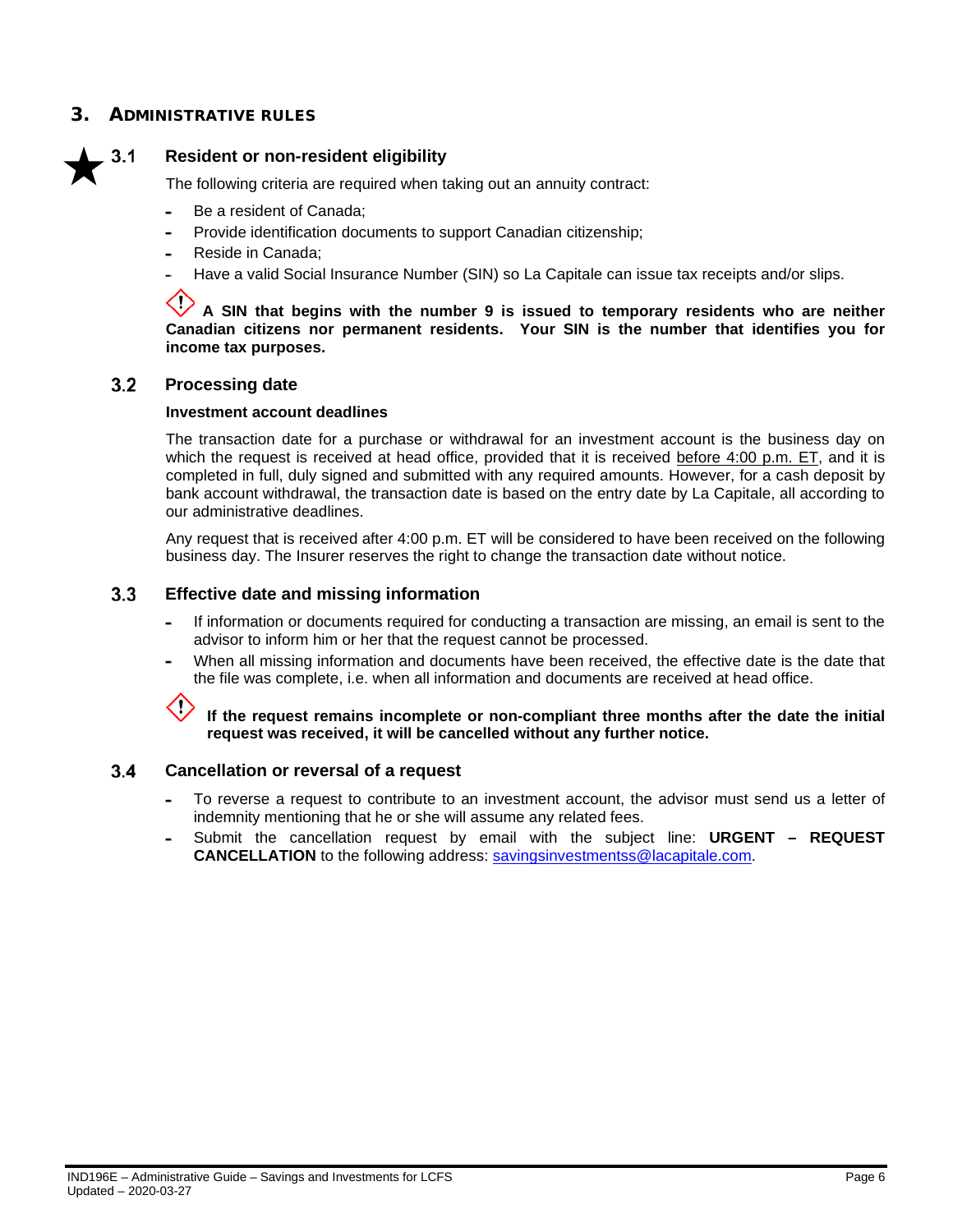### <span id="page-5-0"></span>3. ADMINISTRATIVE RUI ES

<span id="page-5-1"></span>

### **Resident or non-resident eligibility**

The following criteria are required when taking out an annuity contract:

- $\overline{a}$ Be a resident of Canada;
- Provide identification documents to support Canadian citizenship;
- Reside in Canada;
- Have a valid Social Insurance Number (SIN) so La Capitale can issue tax receipts and/or slips.

**A SIN that begins with the number 9 is issued to temporary residents who are neither Canadian citizens nor permanent residents. Your SIN is the number that identifies you for income tax purposes.**

#### <span id="page-5-2"></span> $3.2$ **Processing date**

### **Investment account deadlines**

The transaction date for a purchase or withdrawal for an investment account is the business day on which the request is received at head office, provided that it is received before 4:00 p.m. ET, and it is completed in full, duly signed and submitted with any required amounts. However, for a cash deposit by bank account withdrawal, the transaction date is based on the entry date by La Capitale, all according to our administrative deadlines.

Any request that is received after 4:00 p.m. ET will be considered to have been received on the following business day. The Insurer reserves the right to change the transaction date without notice.

#### <span id="page-5-3"></span> $3.3$ **Effective date and missing information**

- If information or documents required for conducting a transaction are missing, an email is sent to the advisor to inform him or her that the request cannot be processed.
- When all missing information and documents have been received, the effective date is the date that the file was complete, i.e. when all information and documents are received at head office.



**If the request remains incomplete or non-compliant three months after the date the initial request was received, it will be cancelled without any further notice.**

#### <span id="page-5-4"></span> $3.4$ **Cancellation or reversal of a request**

- To reverse a request to contribute to an investment account, the advisor must send us a letter of indemnity mentioning that he or she will assume any related fees.
- Submit the cancellation request by email with the subject line: **URGENT – REQUEST CANCELLATION** to the following address: [savingsinvestmentss@lacapitale.com.](file://capitale.qc.ca/partage/GRP%20-%20AffCorpo_Prod/1-1_CommMkg_Prod/2_Translation/#%20Joanne%20To%20Do/2018-12653%20-%20Guide%20administratif%20-%20CSC/LCFS%20and%20Fundserv/en-CA/Traitement.Epargne@lacapitale.com)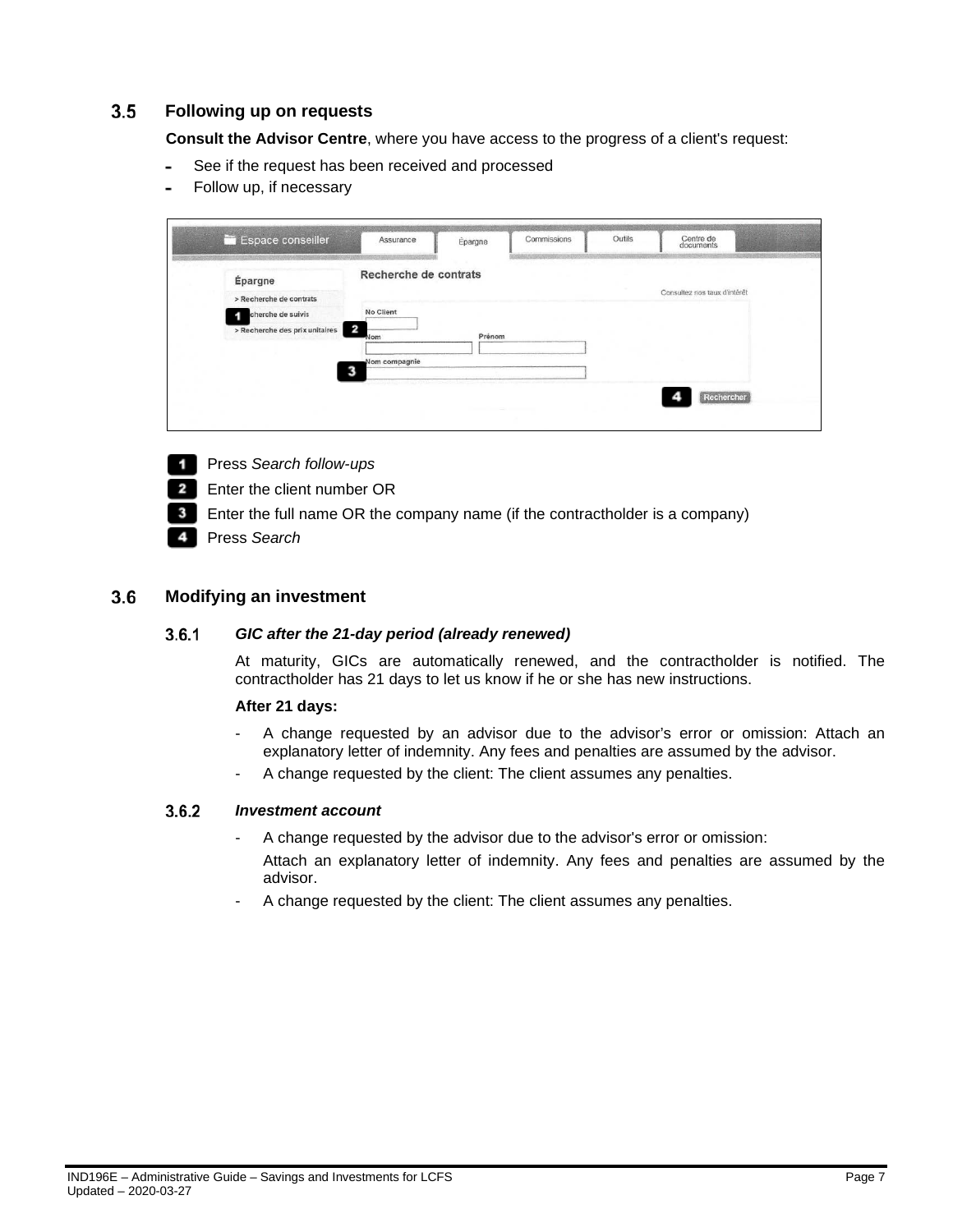#### <span id="page-6-0"></span> $3.5$ **Following up on requests**

**Consult the Advisor Centre**, where you have access to the progress of a client's request:

- See if the request has been received and processed
- Follow up, if necessary

| Espace conseiller              | Assurance             | Épargne | Commissions | Outils | Centre de<br>documents       |
|--------------------------------|-----------------------|---------|-------------|--------|------------------------------|
| Épargne                        | Recherche de contrats |         |             |        |                              |
| > Recherche de contrats        |                       |         |             |        | Consultez nos taux d'intérêt |
| cherche de suivis              | No Client             |         |             |        |                              |
| > Recherche des prix unitaires | 2<br>Nom              | Prénom  |             |        |                              |
|                                | Nom compagnie         |         |             |        |                              |
|                                |                       |         |             |        | Rechercher                   |

- Press *Search follow-ups*
- $\overline{2}$ Enter the client number OR
- $3<sup>1</sup>$ Enter the full name OR the company name (if the contractholder is a company)
- Press *Search* 4

#### <span id="page-6-2"></span><span id="page-6-1"></span> $3.6$ **Modifying an investment**

#### $3.6.1$ *GIC after the 21-day period (already renewed)*

At maturity, GICs are automatically renewed, and the contractholder is notified. The contractholder has 21 days to let us know if he or she has new instructions.

### **After 21 days:**

- A change requested by an advisor due to the advisor's error or omission: Attach an explanatory letter of indemnity. Any fees and penalties are assumed by the advisor.
- A change requested by the client: The client assumes any penalties.

#### <span id="page-6-3"></span> $3.6.2$ *Investment account*

- A change requested by the advisor due to the advisor's error or omission: Attach an explanatory letter of indemnity. Any fees and penalties are assumed by the advisor.
- A change requested by the client: The client assumes any penalties.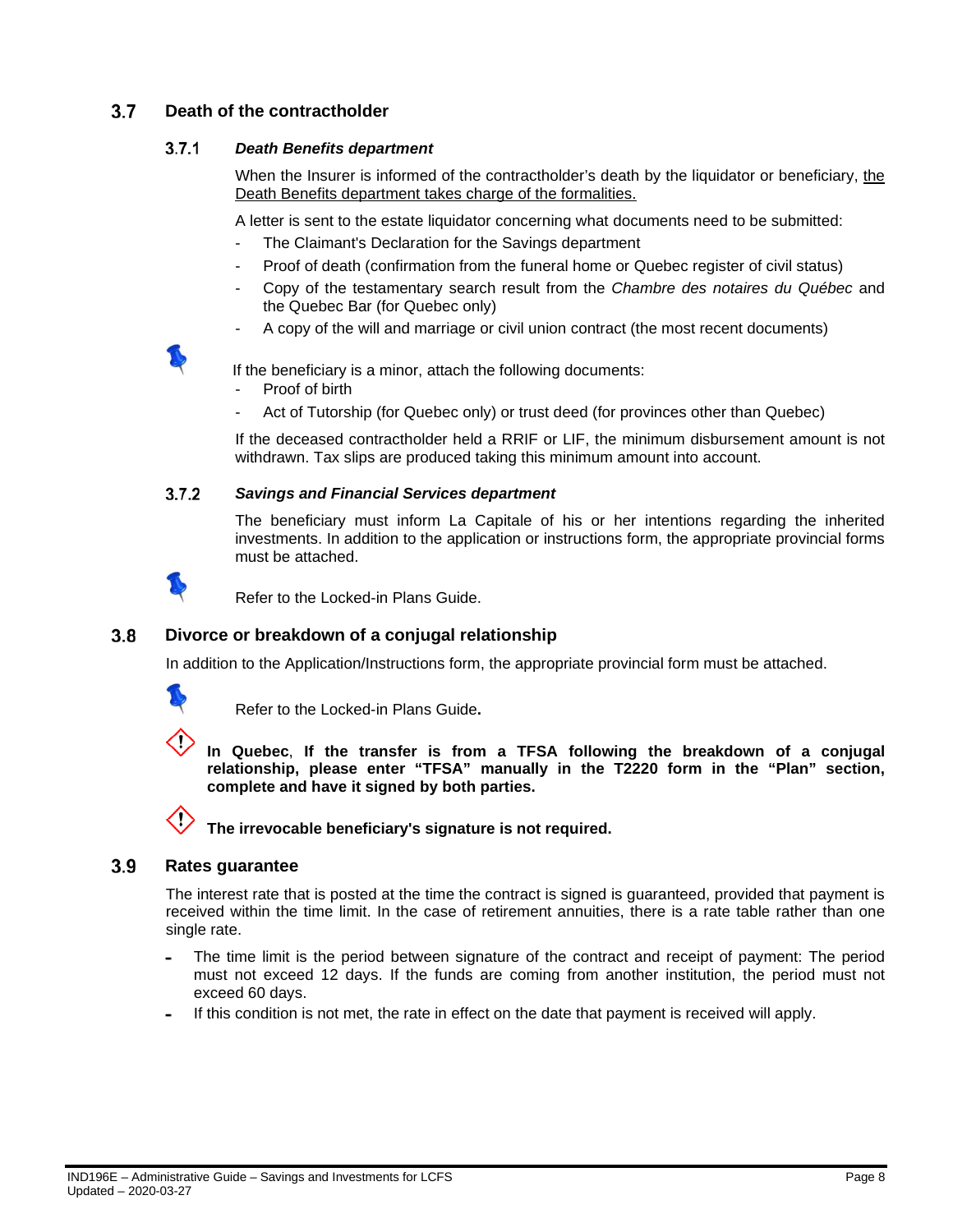#### <span id="page-7-1"></span><span id="page-7-0"></span> $3.7$ **Death of the contractholder**

#### $3.7.1$ *Death Benefits department*

When the Insurer is informed of the contractholder's death by the liquidator or beneficiary, the Death Benefits department takes charge of the formalities.

A letter is sent to the estate liquidator concerning what documents need to be submitted:

- The Claimant's Declaration for the Savings department
- Proof of death (confirmation from the funeral home or Quebec register of civil status)
- Copy of the testamentary search result from the *Chambre des notaires du Québec* and the Quebec Bar (for Quebec only)
- A copy of the will and marriage or civil union contract (the most recent documents)

If the beneficiary is a minor, attach the following documents:

- Proof of birth
- Act of Tutorship (for Quebec only) or trust deed (for provinces other than Quebec)

If the deceased contractholder held a RRIF or LIF, the minimum disbursement amount is not withdrawn. Tax slips are produced taking this minimum amount into account.

#### <span id="page-7-2"></span> $3.7.2$ *Savings and Financial Services department*

The beneficiary must inform La Capitale of his or her intentions regarding the inherited investments. In addition to the application or instructions form, the appropriate provincial forms must be attached.



Refer to the Locked-in Plans Guide.

#### <span id="page-7-3"></span> $3.8$ **Divorce or breakdown of a conjugal relationship**

In addition to the Application/Instructions form, the appropriate provincial form must be attached.



Refer to the Locked-in Plans Guide**.**



**In Quebec**, **If the transfer is from a TFSA following the breakdown of a conjugal relationship, please enter "TFSA" manually in the T2220 form in the "Plan" section, complete and have it signed by both parties.**



**The irrevocable beneficiary's signature is not required.**

#### <span id="page-7-4"></span> $3.9$ **Rates guarantee**

The interest rate that is posted at the time the contract is signed is guaranteed, provided that payment is received within the time limit. In the case of retirement annuities, there is a rate table rather than one single rate.

- The time limit is the period between signature of the contract and receipt of payment: The period must not exceed 12 days. If the funds are coming from another institution, the period must not exceed 60 days.
- If this condition is not met, the rate in effect on the date that payment is received will apply.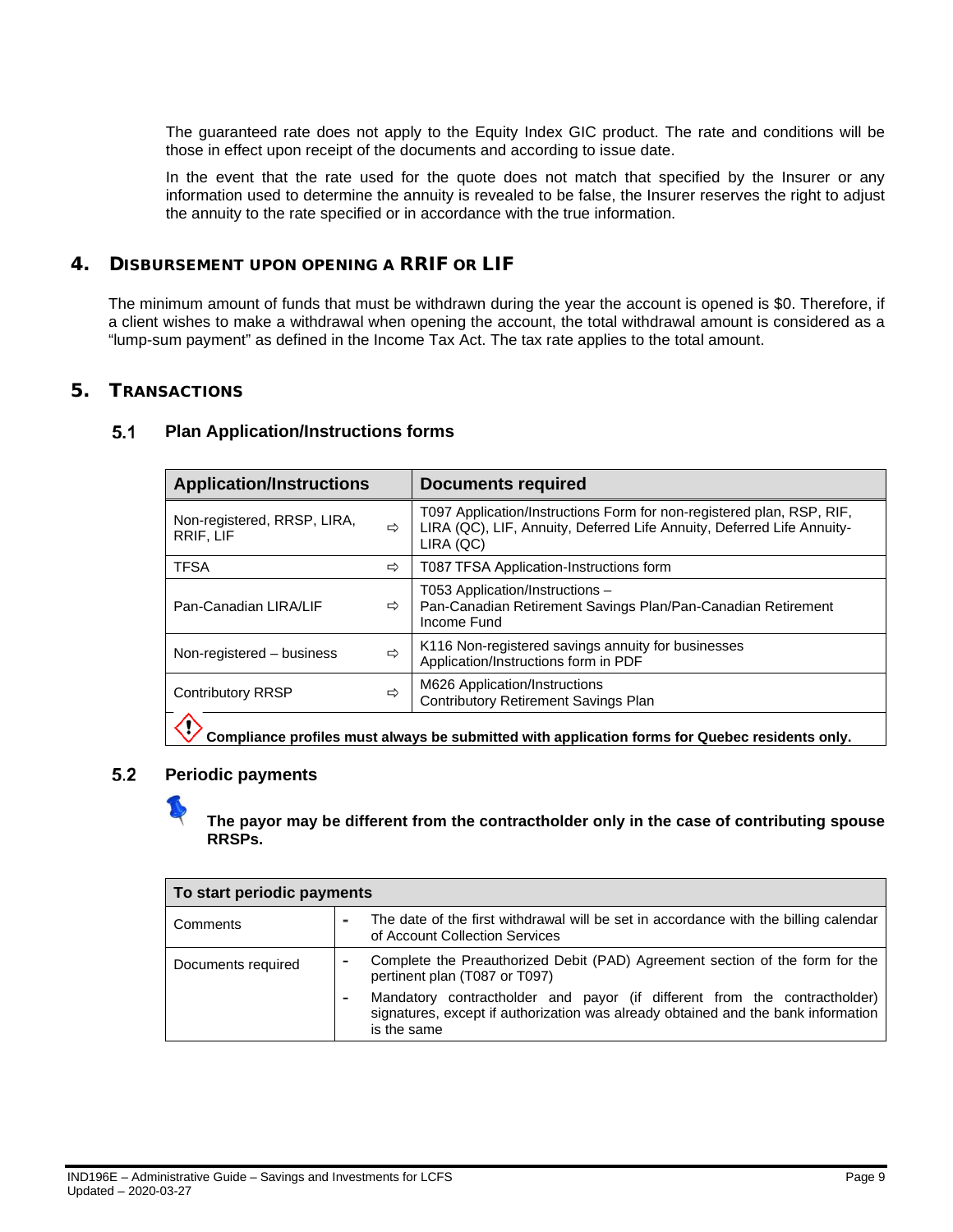The guaranteed rate does not apply to the Equity Index GIC product. The rate and conditions will be those in effect upon receipt of the documents and according to issue date.

In the event that the rate used for the quote does not match that specified by the Insurer or any information used to determine the annuity is revealed to be false, the Insurer reserves the right to adjust the annuity to the rate specified or in accordance with the true information.

### <span id="page-8-0"></span>4. DISBURSEMENT UPON OPENING A RRIF OR LIF

The minimum amount of funds that must be withdrawn during the year the account is opened is \$0. Therefore, if a client wishes to make a withdrawal when opening the account, the total withdrawal amount is considered as a "lump-sum payment" as defined in the Income Tax Act. The tax rate applies to the total amount.

### <span id="page-8-2"></span><span id="page-8-1"></span>5. TRANSACTIONS

| <b>Application/Instructions</b>                                                                |   | <b>Documents required</b>                                                                                                                                    |  |  |  |
|------------------------------------------------------------------------------------------------|---|--------------------------------------------------------------------------------------------------------------------------------------------------------------|--|--|--|
| Non-registered, RRSP, LIRA,<br>RRIF, LIF                                                       | ⇨ | T097 Application/Instructions Form for non-registered plan, RSP, RIF,<br>LIRA (QC), LIF, Annuity, Deferred Life Annuity, Deferred Life Annuity-<br>LIRA (QC) |  |  |  |
| <b>TFSA</b>                                                                                    | ⇨ | T087 TFSA Application-Instructions form                                                                                                                      |  |  |  |
| Pan-Canadian LIRA/LIF                                                                          | ⇨ | T053 Application/Instructions -<br>Pan-Canadian Retirement Savings Plan/Pan-Canadian Retirement<br>Income Fund                                               |  |  |  |
| Non-registered - business                                                                      | ⇨ | K116 Non-registered savings annuity for businesses<br>Application/Instructions form in PDF                                                                   |  |  |  |
| <b>Contributory RRSP</b><br>⇨                                                                  |   | M626 Application/Instructions<br><b>Contributory Retirement Savings Plan</b>                                                                                 |  |  |  |
| Compliance profiles must always be submitted with application forms for Quebec residents only. |   |                                                                                                                                                              |  |  |  |

#### <span id="page-8-3"></span> $5.2$ **Periodic payments**

### **The payor may be different from the contractholder only in the case of contributing spouse RRSPs.**

| To start periodic payments                 |                          |                                                                                                                                                                               |  |  |
|--------------------------------------------|--------------------------|-------------------------------------------------------------------------------------------------------------------------------------------------------------------------------|--|--|
| Comments<br>of Account Collection Services |                          | The date of the first withdrawal will be set in accordance with the billing calendar                                                                                          |  |  |
| Documents required                         | $\overline{\phantom{0}}$ | Complete the Preauthorized Debit (PAD) Agreement section of the form for the<br>pertinent plan (T087 or T097)                                                                 |  |  |
|                                            |                          | Mandatory contractholder and payor (if different from the contractholder)<br>signatures, except if authorization was already obtained and the bank information<br>is the same |  |  |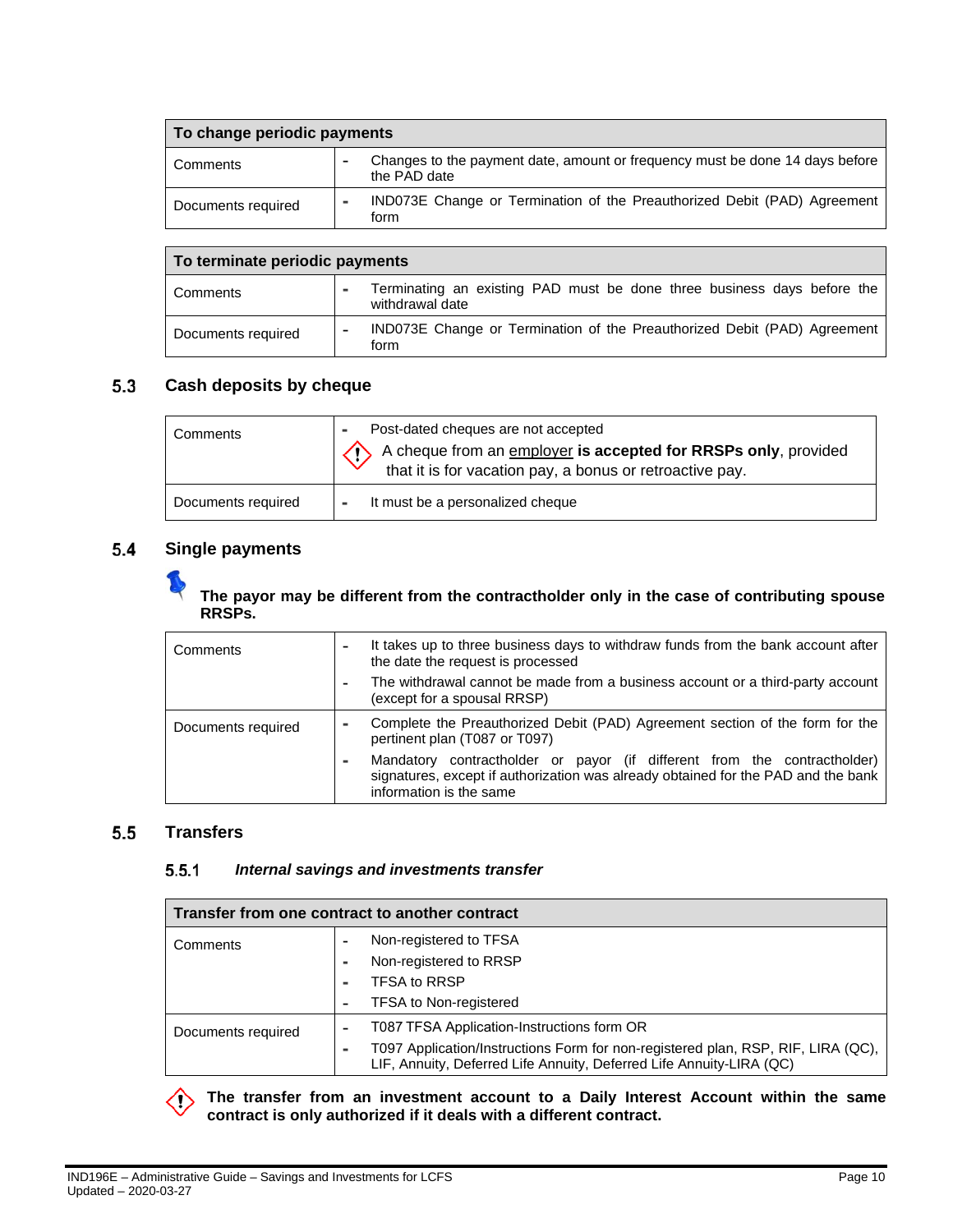| To change periodic payments |  |                                                                                              |  |  |  |
|-----------------------------|--|----------------------------------------------------------------------------------------------|--|--|--|
| Comments                    |  | Changes to the payment date, amount or frequency must be done 14 days before<br>the PAD date |  |  |  |
| Documents required          |  | IND073E Change or Termination of the Preauthorized Debit (PAD) Agreement<br>form             |  |  |  |

| To terminate periodic payments |   |                                                                                            |  |  |  |  |
|--------------------------------|---|--------------------------------------------------------------------------------------------|--|--|--|--|
| Comments                       |   | Terminating an existing PAD must be done three business days before the<br>withdrawal date |  |  |  |  |
| Documents required             | - | IND073E Change or Termination of the Preauthorized Debit (PAD) Agreement<br>torm           |  |  |  |  |

#### <span id="page-9-0"></span> $5.3$ **Cash deposits by cheque**

| Comments           | Post-dated cheques are not accepted<br>A cheque from an employer is accepted for RRSPs only, provided<br>that it is for vacation pay, a bonus or retroactive pay. |
|--------------------|-------------------------------------------------------------------------------------------------------------------------------------------------------------------|
| Documents required | It must be a personalized cheque                                                                                                                                  |

#### <span id="page-9-1"></span> $5.4$ **Single payments**

**The payor may be different from the contractholder only in the case of contributing spouse RRSPs.**

| Comments           |  | It takes up to three business days to withdraw funds from the bank account after<br>the date the request is processed                                                                    |
|--------------------|--|------------------------------------------------------------------------------------------------------------------------------------------------------------------------------------------|
|                    |  | The withdrawal cannot be made from a business account or a third-party account<br>(except for a spousal RRSP)                                                                            |
| Documents required |  | Complete the Preauthorized Debit (PAD) Agreement section of the form for the<br>pertinent plan (T087 or T097)                                                                            |
|                    |  | Mandatory contractholder or payor (if different from the contractholder)<br>signatures, except if authorization was already obtained for the PAD and the bank<br>information is the same |

#### <span id="page-9-3"></span><span id="page-9-2"></span> $5.5$ **Transfers**

#### $5.5.1$ *Internal savings and investments transfer*

| Transfer from one contract to another contract |                                                                                                                                                          |  |  |
|------------------------------------------------|----------------------------------------------------------------------------------------------------------------------------------------------------------|--|--|
| Comments                                       | Non-registered to TFSA                                                                                                                                   |  |  |
|                                                | Non-registered to RRSP                                                                                                                                   |  |  |
|                                                | <b>TFSA to RRSP</b>                                                                                                                                      |  |  |
|                                                | <b>TFSA to Non-registered</b>                                                                                                                            |  |  |
| Documents required                             | T087 TFSA Application-Instructions form OR                                                                                                               |  |  |
|                                                | T097 Application/Instructions Form for non-registered plan, RSP, RIF, LIRA (QC),<br>LIF, Annuity, Deferred Life Annuity, Deferred Life Annuity-LIRA (QC) |  |  |

**The transfer from an investment account to a Daily Interest Account within the same**  ∕ï **contract is only authorized if it deals with a different contract.**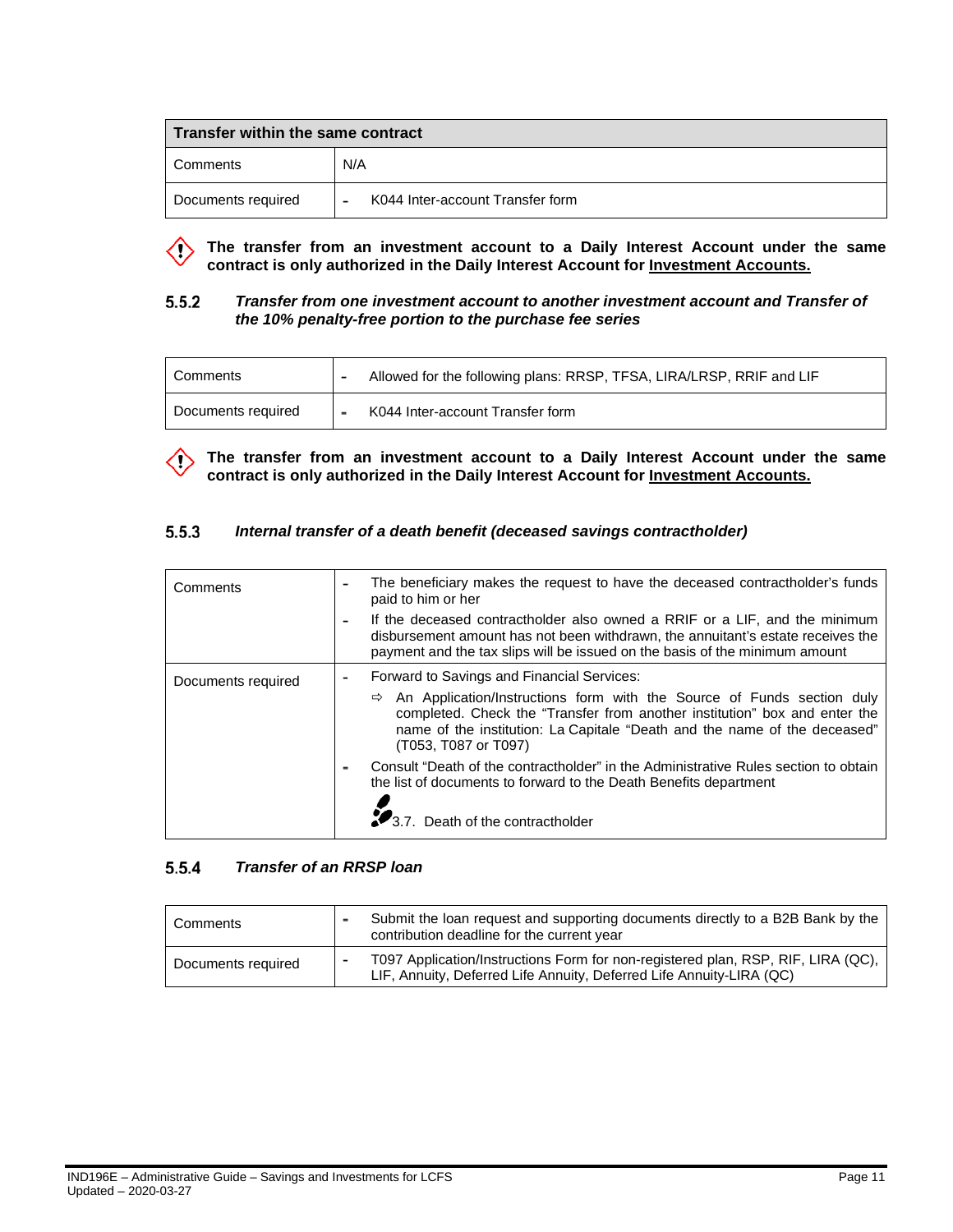| $\mid$ Transfer within the same contract |                                  |  |
|------------------------------------------|----------------------------------|--|
| Comments                                 | N/A                              |  |
| Documents required                       | K044 Inter-account Transfer form |  |

**The transfer from an investment account to a Daily Interest Account under the same contract is only authorized in the Daily Interest Account for Investment Accounts.**

#### <span id="page-10-0"></span> $5.5.2$ *Transfer from one investment account to another investment account and Transfer of the 10% penalty-free portion to the purchase fee series*

| Comments           |                          | Allowed for the following plans: RRSP, TFSA, LIRA/LRSP, RRIF and LIF |
|--------------------|--------------------------|----------------------------------------------------------------------|
| Documents required | $\overline{\phantom{0}}$ | K044 Inter-account Transfer form                                     |

The transfer from an investment account to a Daily Interest Account under the same **contract is only authorized in the Daily Interest Account for Investment Accounts.**

#### <span id="page-10-1"></span> $5.5.3$ *Internal transfer of a death benefit (deceased savings contractholder)*

| Comments           | The beneficiary makes the request to have the deceased contractholder's funds<br>paid to him or her<br>If the deceased contractholder also owned a RRIF or a LIF, and the minimum                                                                                          |
|--------------------|----------------------------------------------------------------------------------------------------------------------------------------------------------------------------------------------------------------------------------------------------------------------------|
|                    | disbursement amount has not been withdrawn, the annuitant's estate receives the<br>payment and the tax slips will be issued on the basis of the minimum amount                                                                                                             |
| Documents required | Forward to Savings and Financial Services:                                                                                                                                                                                                                                 |
|                    | An Application/Instructions form with the Source of Funds section duly<br>$\Rightarrow$<br>completed. Check the "Transfer from another institution" box and enter the<br>name of the institution: La Capitale "Death and the name of the deceased"<br>(T053, T087 or T097) |
|                    | Consult "Death of the contractholder" in the Administrative Rules section to obtain<br>the list of documents to forward to the Death Benefits department                                                                                                                   |
|                    | Death of the contractholder                                                                                                                                                                                                                                                |

#### <span id="page-10-2"></span> $5.5.4$ *Transfer of an RRSP loan*

| Comments           | Submit the loan request and supporting documents directly to a B2B Bank by the<br>contribution deadline for the current year                             |
|--------------------|----------------------------------------------------------------------------------------------------------------------------------------------------------|
| Documents required | T097 Application/Instructions Form for non-registered plan, RSP, RIF, LIRA (QC),<br>LIF, Annuity, Deferred Life Annuity, Deferred Life Annuity-LIRA (QC) |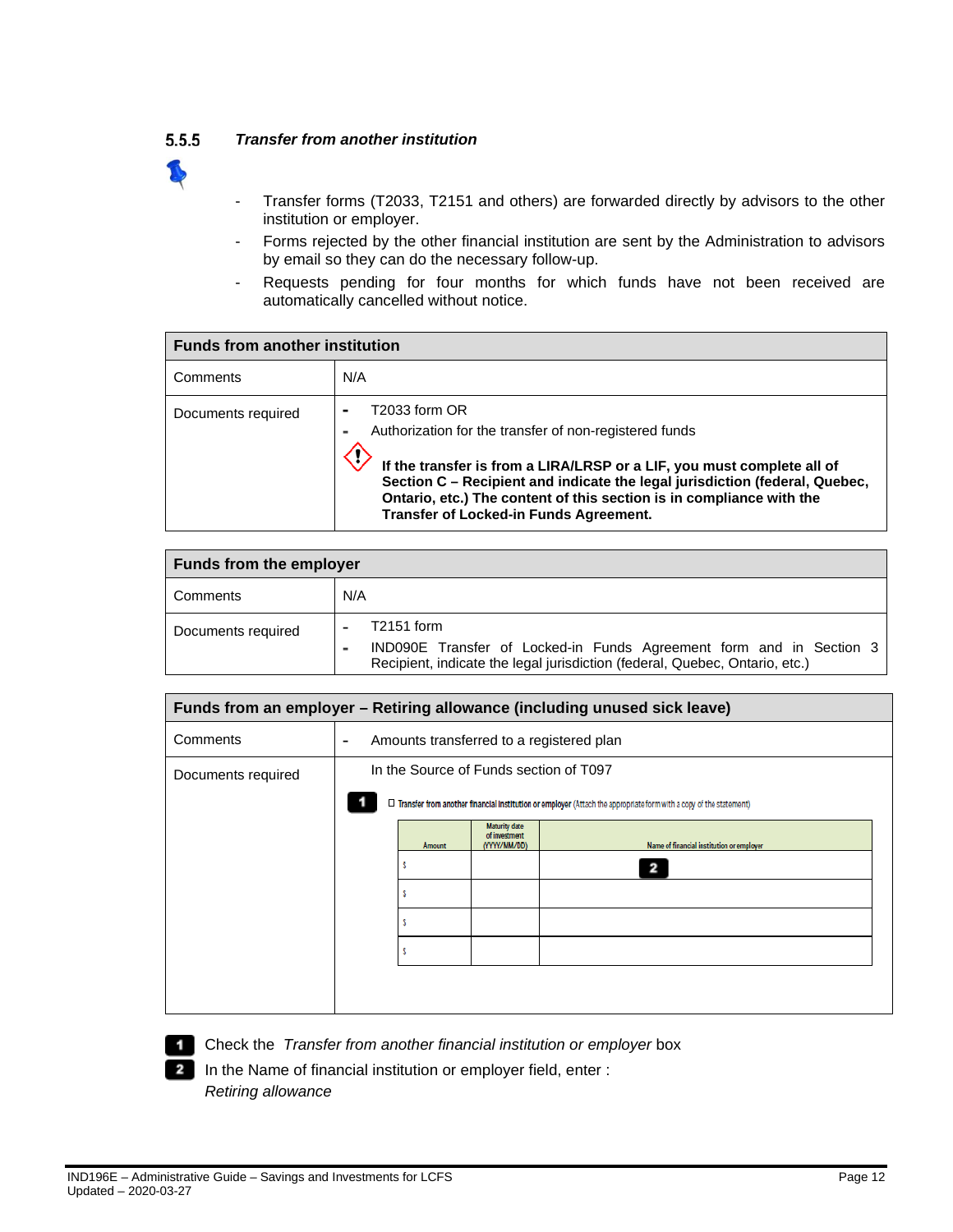#### <span id="page-11-0"></span> $5.5.5$ *Transfer from another institution*

- 
- Transfer forms (T2033, T2151 and others) are forwarded directly by advisors to the other institution or employer.
- Forms rejected by the other financial institution are sent by the Administration to advisors by email so they can do the necessary follow-up.
- Requests pending for four months for which funds have not been received are automatically cancelled without notice.

| <b>Funds from another institution</b> |                                                                                                                                                                                                                                                                                                                                                    |  |
|---------------------------------------|----------------------------------------------------------------------------------------------------------------------------------------------------------------------------------------------------------------------------------------------------------------------------------------------------------------------------------------------------|--|
| Comments                              | N/A                                                                                                                                                                                                                                                                                                                                                |  |
| Documents required                    | T2033 form OR<br>Authorization for the transfer of non-registered funds<br>If the transfer is from a LIRA/LRSP or a LIF, you must complete all of<br>Section C - Recipient and indicate the legal jurisdiction (federal, Quebec,<br>Ontario, etc.) The content of this section is in compliance with the<br>Transfer of Locked-in Funds Agreement. |  |

| <b>Funds from the employer</b> |                                                                                                                                                                    |  |
|--------------------------------|--------------------------------------------------------------------------------------------------------------------------------------------------------------------|--|
| Comments                       | N/A                                                                                                                                                                |  |
| Documents required             | $T2151$ form<br>IND090E Transfer of Locked-in Funds Agreement form and in Section 3<br>Recipient, indicate the legal jurisdiction (federal, Quebec, Ontario, etc.) |  |

|                    |   |        |                                                       | Funds from an employer - Retiring allowance (including unused sick leave)                                                 |
|--------------------|---|--------|-------------------------------------------------------|---------------------------------------------------------------------------------------------------------------------------|
| Comments           | ٠ |        |                                                       | Amounts transferred to a registered plan                                                                                  |
| Documents required |   |        |                                                       | In the Source of Funds section of T097                                                                                    |
|                    |   |        |                                                       | $\Box$ Transfer from another financial institution or employer (Attach the appropriate form with a copy of the statement) |
|                    |   | Amount | <b>Maturity date</b><br>of investment<br>(YYYY/MM/DD) | Name of financial institution or employer                                                                                 |
|                    |   |        |                                                       | 2                                                                                                                         |
|                    |   |        |                                                       |                                                                                                                           |
|                    |   |        |                                                       |                                                                                                                           |
|                    |   |        |                                                       |                                                                                                                           |
|                    |   |        |                                                       |                                                                                                                           |
|                    |   |        |                                                       |                                                                                                                           |



**Check the** *Transfer from another financial institution or employer* **box** 

2 In the Name of financial institution or employer field, enter : *Retiring allowance*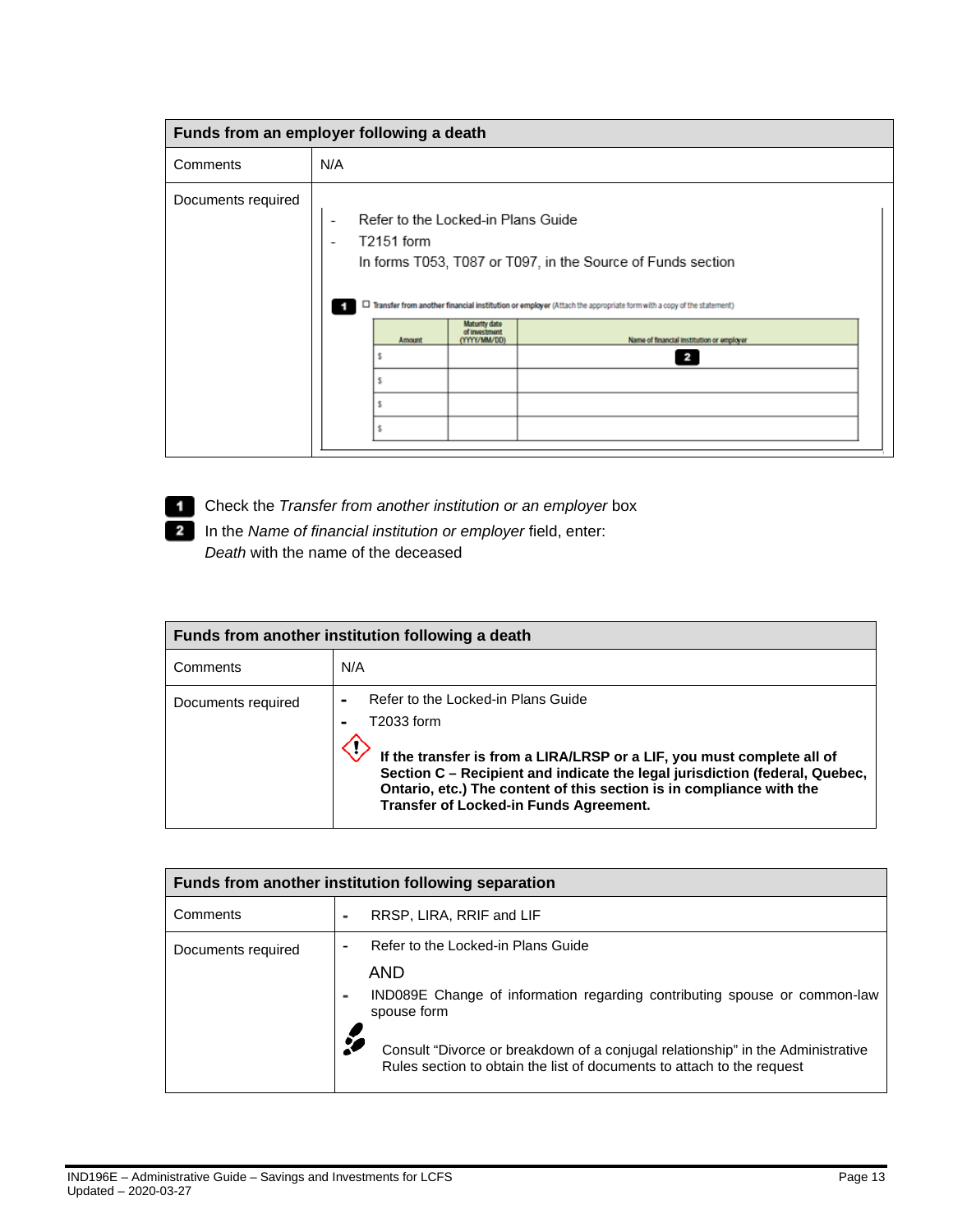| Funds from an employer following a death |                                                                      |                                                       |                                                                                                                                                                                                                                                  |
|------------------------------------------|----------------------------------------------------------------------|-------------------------------------------------------|--------------------------------------------------------------------------------------------------------------------------------------------------------------------------------------------------------------------------------------------------|
| Comments                                 | N/A                                                                  |                                                       |                                                                                                                                                                                                                                                  |
| Documents required                       | Refer to the Locked-in Plans Guide<br>-<br>T2151 form<br>۰<br>Amount | <b>Maturity date</b><br>of Investment<br>(YYYY/MM/DD) | In forms T053, T087 or T097, in the Source of Funds section<br>□ Transfer from another financial institution or employer (Attach the appropriate form with a copy of the statement)<br>Name of financial institution or employer<br>$\mathbf{z}$ |

**Check the** *Transfer from another institution or an employer* **box** 

In the *Name of financial institution or employer* field, enter: *Death* with the name of the deceased

| Funds from another institution following a death |                                                                                                                                                                                                                                                                                                                                    |  |
|--------------------------------------------------|------------------------------------------------------------------------------------------------------------------------------------------------------------------------------------------------------------------------------------------------------------------------------------------------------------------------------------|--|
| Comments                                         | N/A                                                                                                                                                                                                                                                                                                                                |  |
| Documents required                               | Refer to the Locked-in Plans Guide<br>T2033 form<br>If the transfer is from a LIRA/LRSP or a LIF, you must complete all of<br>Section C - Recipient and indicate the legal jurisdiction (federal, Quebec,<br>Ontario, etc.) The content of this section is in compliance with the<br><b>Transfer of Locked-in Funds Agreement.</b> |  |

| Funds from another institution following separation |                          |                                                                                                                                                           |  |
|-----------------------------------------------------|--------------------------|-----------------------------------------------------------------------------------------------------------------------------------------------------------|--|
| Comments                                            | ۰                        | RRSP, LIRA, RRIF and LIF                                                                                                                                  |  |
| Documents required                                  | ٠                        | Refer to the Locked-in Plans Guide<br>AND                                                                                                                 |  |
|                                                     | $\overline{\phantom{0}}$ | IND089E Change of information regarding contributing spouse or common-law<br>spouse form                                                                  |  |
|                                                     |                          | Consult "Divorce or breakdown of a conjugal relationship" in the Administrative<br>Rules section to obtain the list of documents to attach to the request |  |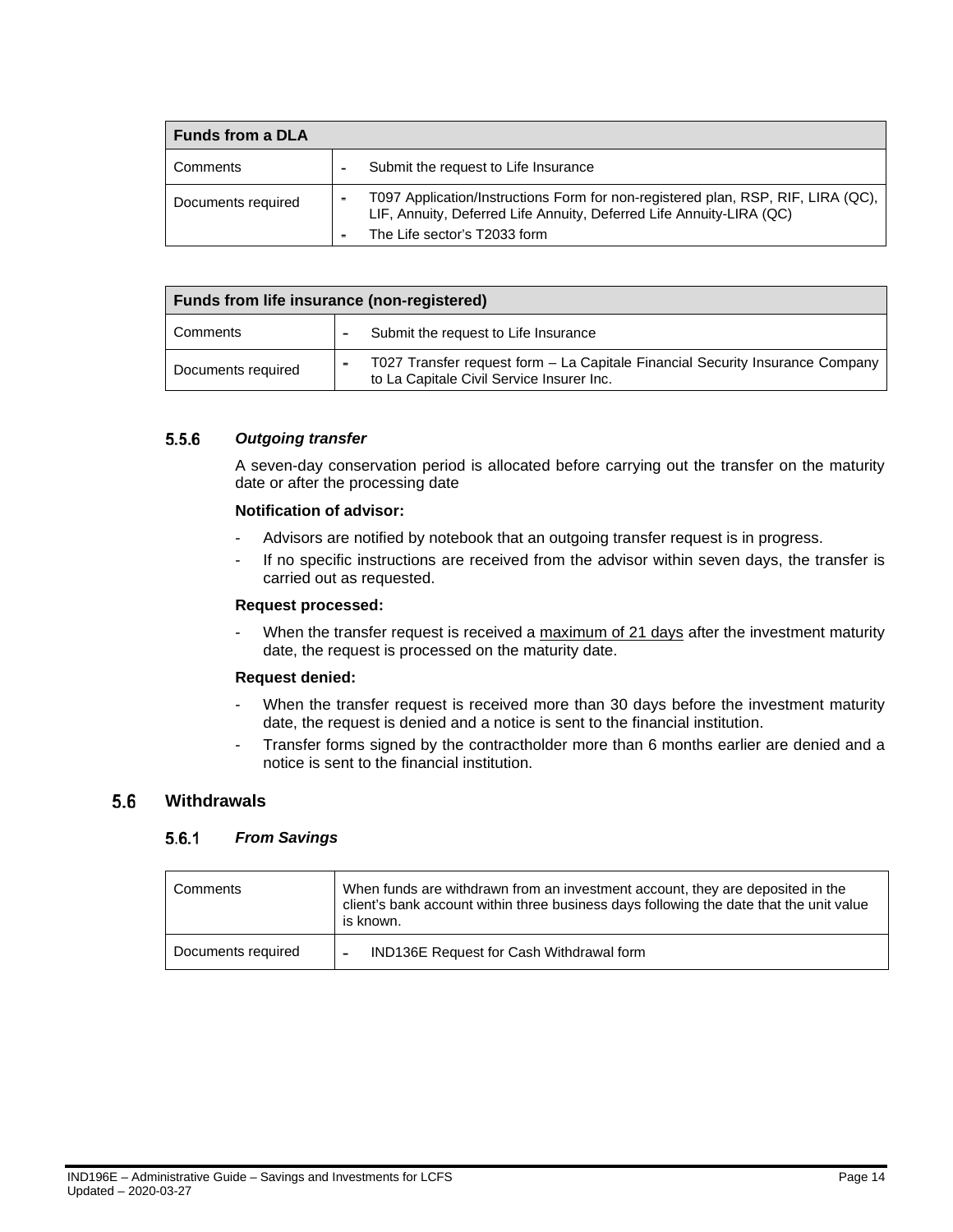| <b>Funds from a DLA</b>                                                    |                                                                                                                                                                                          |
|----------------------------------------------------------------------------|------------------------------------------------------------------------------------------------------------------------------------------------------------------------------------------|
| Comments<br>-                                                              | Submit the request to Life Insurance                                                                                                                                                     |
| $\overline{\phantom{a}}$<br>Documents required<br>$\overline{\phantom{0}}$ | T097 Application/Instructions Form for non-registered plan, RSP, RIF, LIRA (QC),<br>LIF, Annuity, Deferred Life Annuity, Deferred Life Annuity-LIRA (QC)<br>The Life sector's T2033 form |

| Funds from life insurance (non-registered) |  |                                                                                                                            |
|--------------------------------------------|--|----------------------------------------------------------------------------------------------------------------------------|
| Comments                                   |  | Submit the request to Life Insurance                                                                                       |
| Documents required                         |  | T027 Transfer request form - La Capitale Financial Security Insurance Company<br>to La Capitale Civil Service Insurer Inc. |

#### <span id="page-13-0"></span> $5.5.6$ *Outgoing transfer*

A seven-day conservation period is allocated before carrying out the transfer on the maturity date or after the processing date

### **Notification of advisor:**

- Advisors are notified by notebook that an outgoing transfer request is in progress.
- If no specific instructions are received from the advisor within seven days, the transfer is carried out as requested.

### **Request processed:**

When the transfer request is received a maximum of 21 days after the investment maturity date, the request is processed on the maturity date.

### **Request denied:**

- When the transfer request is received more than 30 days before the investment maturity date, the request is denied and a notice is sent to the financial institution.
- Transfer forms signed by the contractholder more than 6 months earlier are denied and a notice is sent to the financial institution.

#### <span id="page-13-2"></span><span id="page-13-1"></span> $5.6$ **Withdrawals**

#### $5.6.1$ *From Savings*

| Comments           | When funds are withdrawn from an investment account, they are deposited in the<br>client's bank account within three business days following the date that the unit value<br>is known. |
|--------------------|----------------------------------------------------------------------------------------------------------------------------------------------------------------------------------------|
| Documents required | IND136E Request for Cash Withdrawal form<br>$\overline{\phantom{0}}$                                                                                                                   |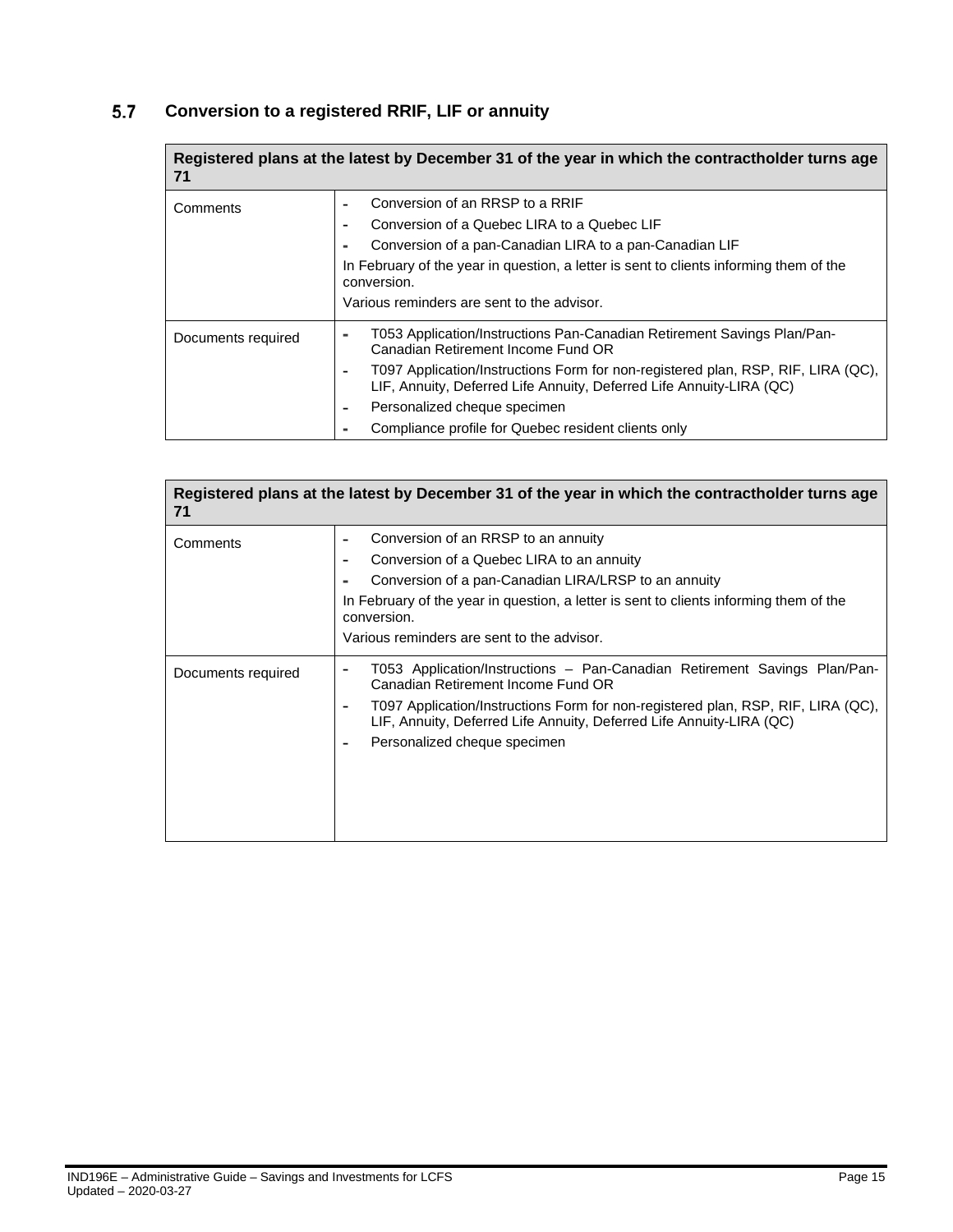#### <span id="page-14-0"></span> $5.7$ **Conversion to a registered RRIF, LIF or annuity**

| 71                 | Registered plans at the latest by December 31 of the year in which the contractholder turns age                                                                                                                                                                                                                                                                  |
|--------------------|------------------------------------------------------------------------------------------------------------------------------------------------------------------------------------------------------------------------------------------------------------------------------------------------------------------------------------------------------------------|
| Comments           | Conversion of an RRSP to a RRIF<br>Conversion of a Quebec LIRA to a Quebec LIF<br>Conversion of a pan-Canadian LIRA to a pan-Canadian LIF<br>In February of the year in question, a letter is sent to clients informing them of the<br>conversion.<br>Various reminders are sent to the advisor.                                                                 |
| Documents required | T053 Application/Instructions Pan-Canadian Retirement Savings Plan/Pan-<br>Canadian Retirement Income Fund OR<br>T097 Application/Instructions Form for non-registered plan, RSP, RIF, LIRA (QC),<br>LIF, Annuity, Deferred Life Annuity, Deferred Life Annuity-LIRA (QC)<br>Personalized cheque specimen<br>Compliance profile for Quebec resident clients only |

| 71                 | Registered plans at the latest by December 31 of the year in which the contractholder turns age                                                                                                                                                                                                             |
|--------------------|-------------------------------------------------------------------------------------------------------------------------------------------------------------------------------------------------------------------------------------------------------------------------------------------------------------|
| Comments           | Conversion of an RRSP to an annuity<br>Conversion of a Quebec LIRA to an annuity<br>Conversion of a pan-Canadian LIRA/LRSP to an annuity<br>In February of the year in question, a letter is sent to clients informing them of the<br>conversion.<br>Various reminders are sent to the advisor.             |
| Documents required | T053 Application/Instructions - Pan-Canadian Retirement Savings Plan/Pan-<br>Canadian Retirement Income Fund OR<br>T097 Application/Instructions Form for non-registered plan, RSP, RIF, LIRA (QC),<br>LIF, Annuity, Deferred Life Annuity, Deferred Life Annuity-LIRA (QC)<br>Personalized cheque specimen |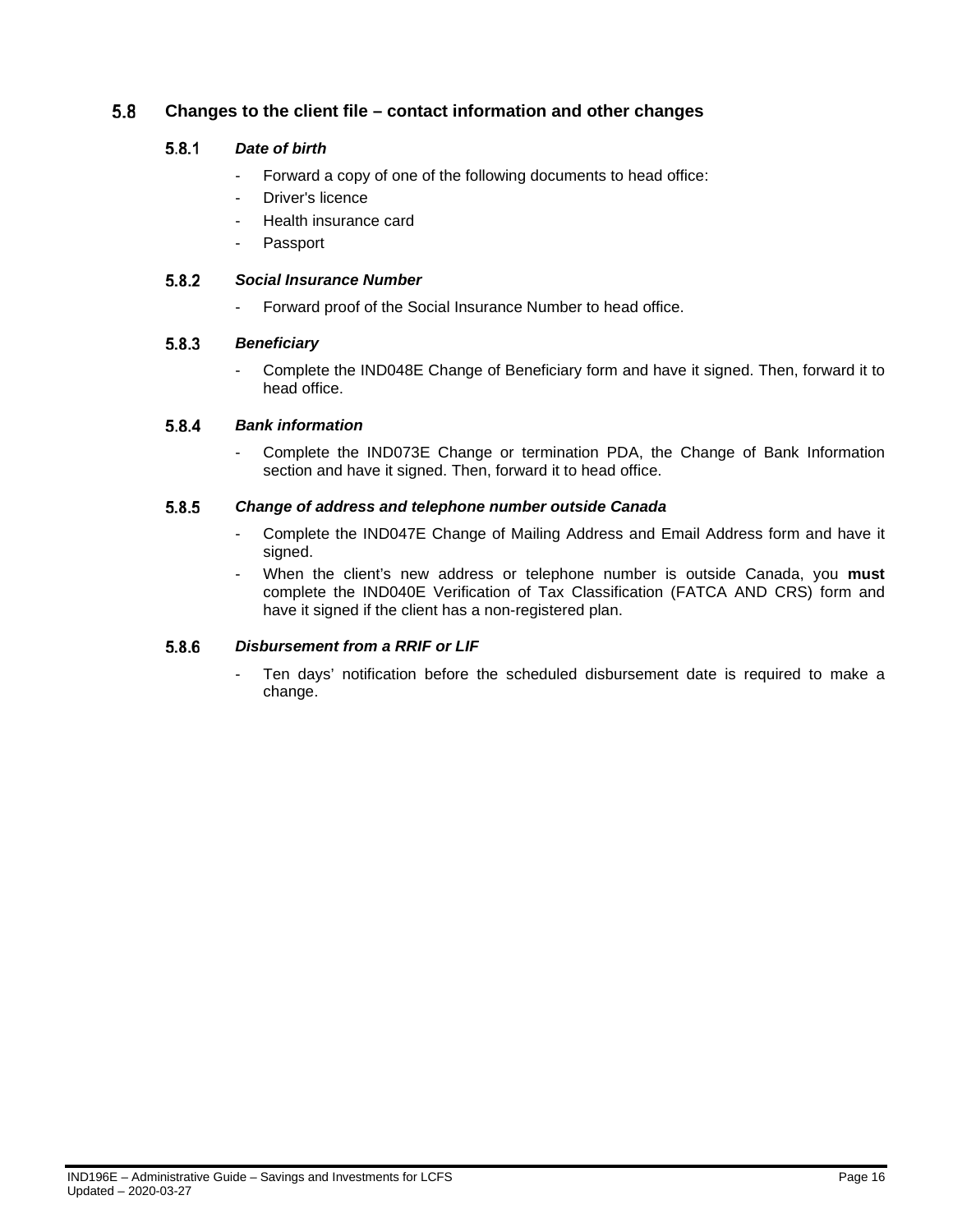#### <span id="page-15-1"></span><span id="page-15-0"></span>5.8 **Changes to the client file – contact information and other changes**

#### $5.8.1$ *Date of birth*

- Forward a copy of one of the following documents to head office:
- Driver's licence
- Health insurance card
- **Passport**

#### <span id="page-15-2"></span>5.8.2 *Social Insurance Number*

- Forward proof of the Social Insurance Number to head office.

#### <span id="page-15-3"></span> $5.8.3$ *Beneficiary*

- Complete the IND048E Change of Beneficiary form and have it signed. Then, forward it to head office.

#### <span id="page-15-4"></span>5.8.4 *Bank information*

- Complete the IND073E Change or termination PDA, the Change of Bank Information section and have it signed. Then, forward it to head office.

#### <span id="page-15-5"></span>5.8.5 *Change of address and telephone number outside Canada*

- Complete the IND047E Change of Mailing Address and Email Address form and have it signed.
- When the client's new address or telephone number is outside Canada, you **must**  complete the IND040E Verification of Tax Classification (FATCA AND CRS) form and have it signed if the client has a non-registered plan.

#### <span id="page-15-6"></span>5.8.6 *Disbursement from a RRIF or LIF*

Ten days' notification before the scheduled disbursement date is required to make a change.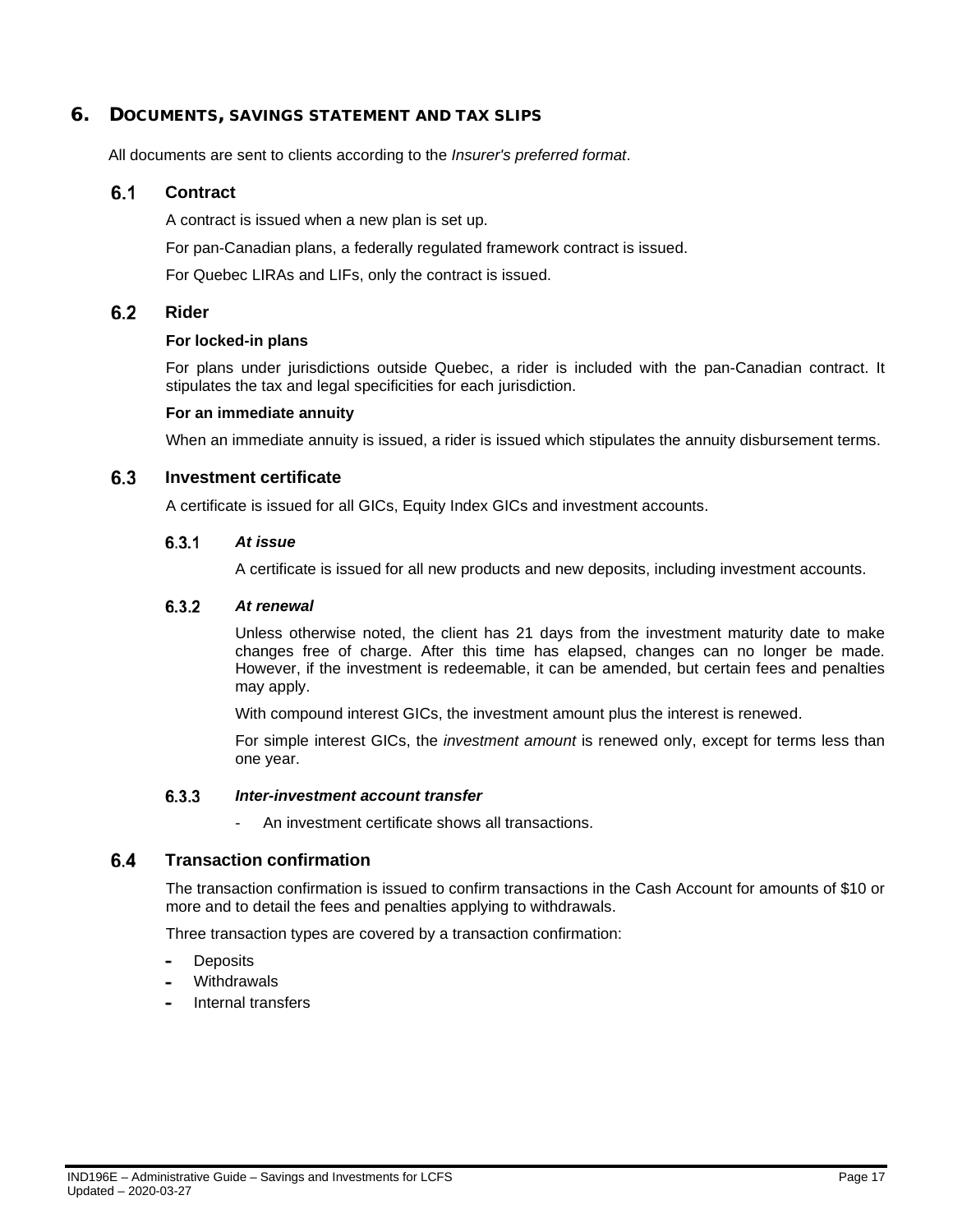### <span id="page-16-0"></span>6. DOCUMENTS, SAVINGS STATEMENT AND TAX SLIPS

All documents are sent to clients according to the *Insurer's preferred format*.

#### <span id="page-16-1"></span> $6.1$ **Contract**

A contract is issued when a new plan is set up.

For pan-Canadian plans, a federally regulated framework contract is issued.

For Quebec LIRAs and LIFs, only the contract is issued.

#### <span id="page-16-2"></span> $6.2$ **Rider**

### **For locked-in plans**

For plans under jurisdictions outside Quebec, a rider is included with the pan-Canadian contract. It stipulates the tax and legal specificities for each jurisdiction.

### **For an immediate annuity**

When an immediate annuity is issued, a rider is issued which stipulates the annuity disbursement terms.

#### <span id="page-16-4"></span><span id="page-16-3"></span> $6.3$ **Investment certificate**

A certificate is issued for all GICs, Equity Index GICs and investment accounts.

#### $6.3.1$ *At issue*

A certificate is issued for all new products and new deposits, including investment accounts.

#### <span id="page-16-5"></span> $6.3.2$ *At renewal*

Unless otherwise noted, the client has 21 days from the investment maturity date to make changes free of charge. After this time has elapsed, changes can no longer be made. However, if the investment is redeemable, it can be amended, but certain fees and penalties may apply.

With compound interest GICs, the investment amount plus the interest is renewed.

For simple interest GICs, the *investment amount* is renewed only, except for terms less than one year.

#### $6.3.3$ *Inter-investment account transfer*

- An investment certificate shows all transactions.

#### <span id="page-16-7"></span><span id="page-16-6"></span> $6.4$ **Transaction confirmation**

The transaction confirmation is issued to confirm transactions in the Cash Account for amounts of \$10 or more and to detail the fees and penalties applying to withdrawals.

Three transaction types are covered by a transaction confirmation:

- **Deposits**
- **Withdrawals**
- Internal transfers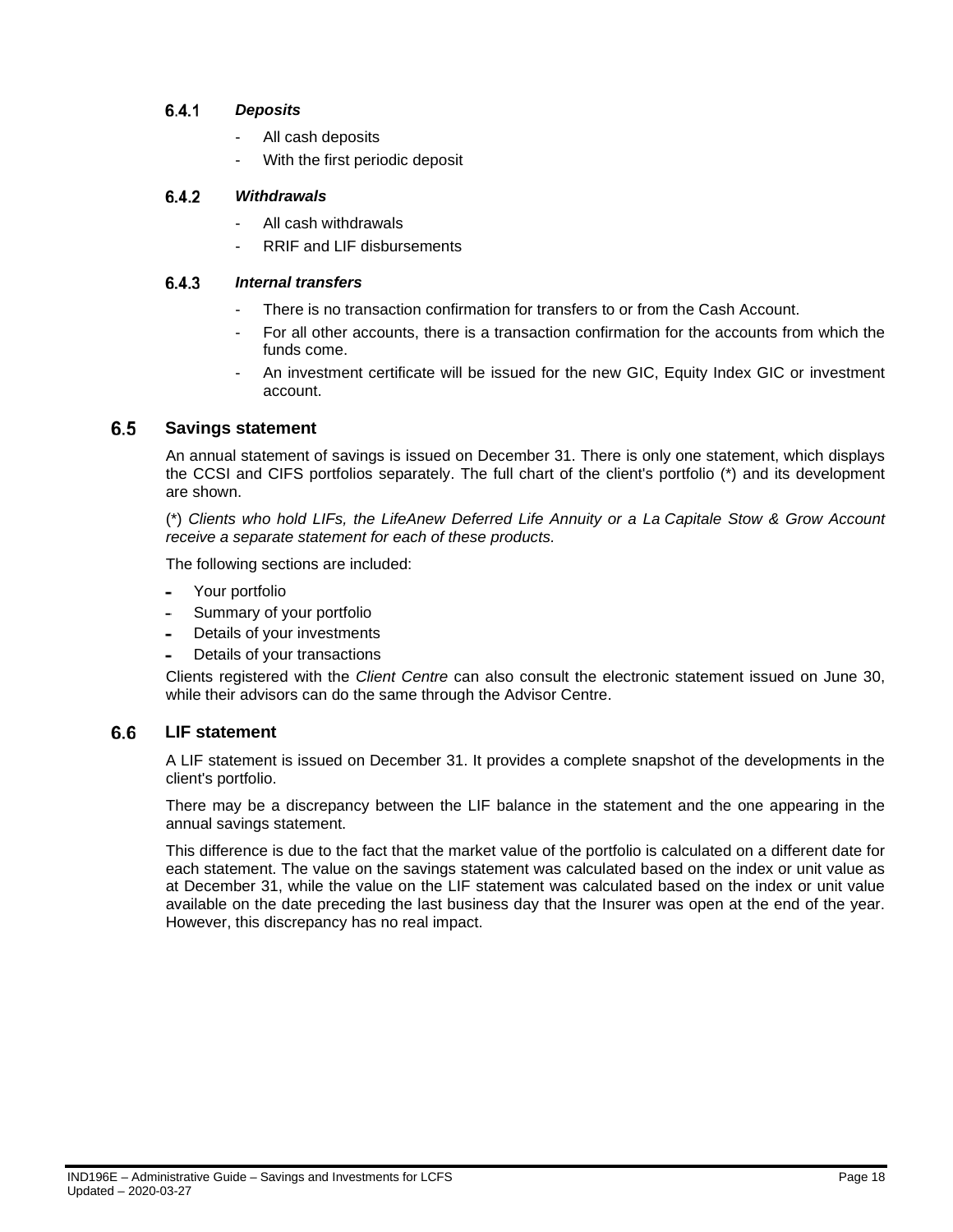#### <span id="page-17-0"></span> $6.4.1$ *Deposits*

- All cash deposits
- With the first periodic deposit

#### <span id="page-17-1"></span> $6.4.2$ *Withdrawals*

- All cash withdrawals
- RRIF and LIF disbursements

#### <span id="page-17-2"></span> $6.4.3$ *Internal transfers*

- There is no transaction confirmation for transfers to or from the Cash Account.
- For all other accounts, there is a transaction confirmation for the accounts from which the funds come.
- An investment certificate will be issued for the new GIC, Equity Index GIC or investment account.

#### <span id="page-17-3"></span> $6.5$ **Savings statement**

An annual statement of savings is issued on December 31. There is only one statement, which displays the CCSI and CIFS portfolios separately. The full chart of the client's portfolio (\*) and its development are shown.

(\*) *Clients who hold LIFs, the LifeAnew Deferred Life Annuity or a La Capitale Stow & Grow Account receive a separate statement for each of these products.*

The following sections are included:

- Your portfolio
- Summary of your portfolio
- Details of your investments
- Details of your transactions

Clients registered with the *Client Centre* can also consult the electronic statement issued on June 30, while their advisors can do the same through the Advisor Centre.

#### <span id="page-17-4"></span> $6.6$ **LIF statement**

A LIF statement is issued on December 31. It provides a complete snapshot of the developments in the client's portfolio.

There may be a discrepancy between the LIF balance in the statement and the one appearing in the annual savings statement.

This difference is due to the fact that the market value of the portfolio is calculated on a different date for each statement. The value on the savings statement was calculated based on the index or unit value as at December 31, while the value on the LIF statement was calculated based on the index or unit value available on the date preceding the last business day that the Insurer was open at the end of the year. However, this discrepancy has no real impact.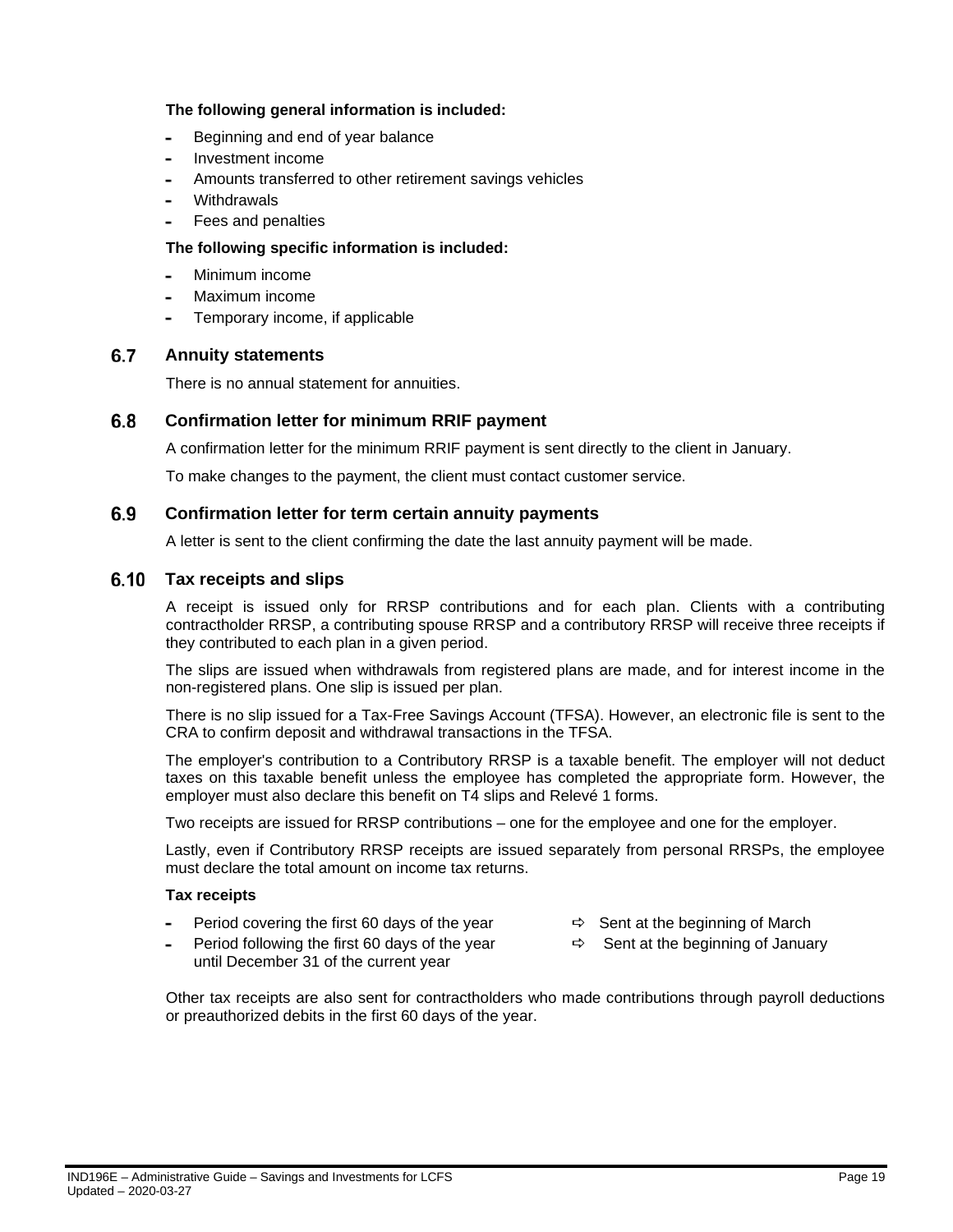### **The following general information is included:**

- Beginning and end of year balance  $\overline{a}$
- Investment income  $\overline{a}$
- Amounts transferred to other retirement savings vehicles
- **Withdrawals**
- Fees and penalties

### **The following specific information is included:**

- Minimum income
- Maximum income
- Temporary income, if applicable  $\overline{a}$

#### <span id="page-18-0"></span> $6.7$ **Annuity statements**

There is no annual statement for annuities.

#### <span id="page-18-1"></span> $6.8$ **Confirmation letter for minimum RRIF payment**

A confirmation letter for the minimum RRIF payment is sent directly to the client in January.

To make changes to the payment, the client must contact customer service.

#### <span id="page-18-2"></span>6.9 **Confirmation letter for term certain annuity payments**

A letter is sent to the client confirming the date the last annuity payment will be made.

#### <span id="page-18-3"></span> $6.10$ **Tax receipts and slips**

A receipt is issued only for RRSP contributions and for each plan. Clients with a contributing contractholder RRSP, a contributing spouse RRSP and a contributory RRSP will receive three receipts if they contributed to each plan in a given period.

The slips are issued when withdrawals from registered plans are made, and for interest income in the non-registered plans. One slip is issued per plan.

There is no slip issued for a Tax-Free Savings Account (TFSA). However, an electronic file is sent to the CRA to confirm deposit and withdrawal transactions in the TFSA.

The employer's contribution to a Contributory RRSP is a taxable benefit. The employer will not deduct taxes on this taxable benefit unless the employee has completed the appropriate form. However, the employer must also declare this benefit on T4 slips and Relevé 1 forms.

Two receipts are issued for RRSP contributions – one for the employee and one for the employer.

Lastly, even if Contributory RRSP receipts are issued separately from personal RRSPs, the employee must declare the total amount on income tax returns.

### **Tax receipts**

- Period covering the first 60 days of the year  $\Rightarrow$  Sent at the beginning of March
- Period following the first 60 days of the year  $\Rightarrow$  Sent at the beginning of January until December 31 of the current year
- -

Other tax receipts are also sent for contractholders who made contributions through payroll deductions or preauthorized debits in the first 60 days of the year.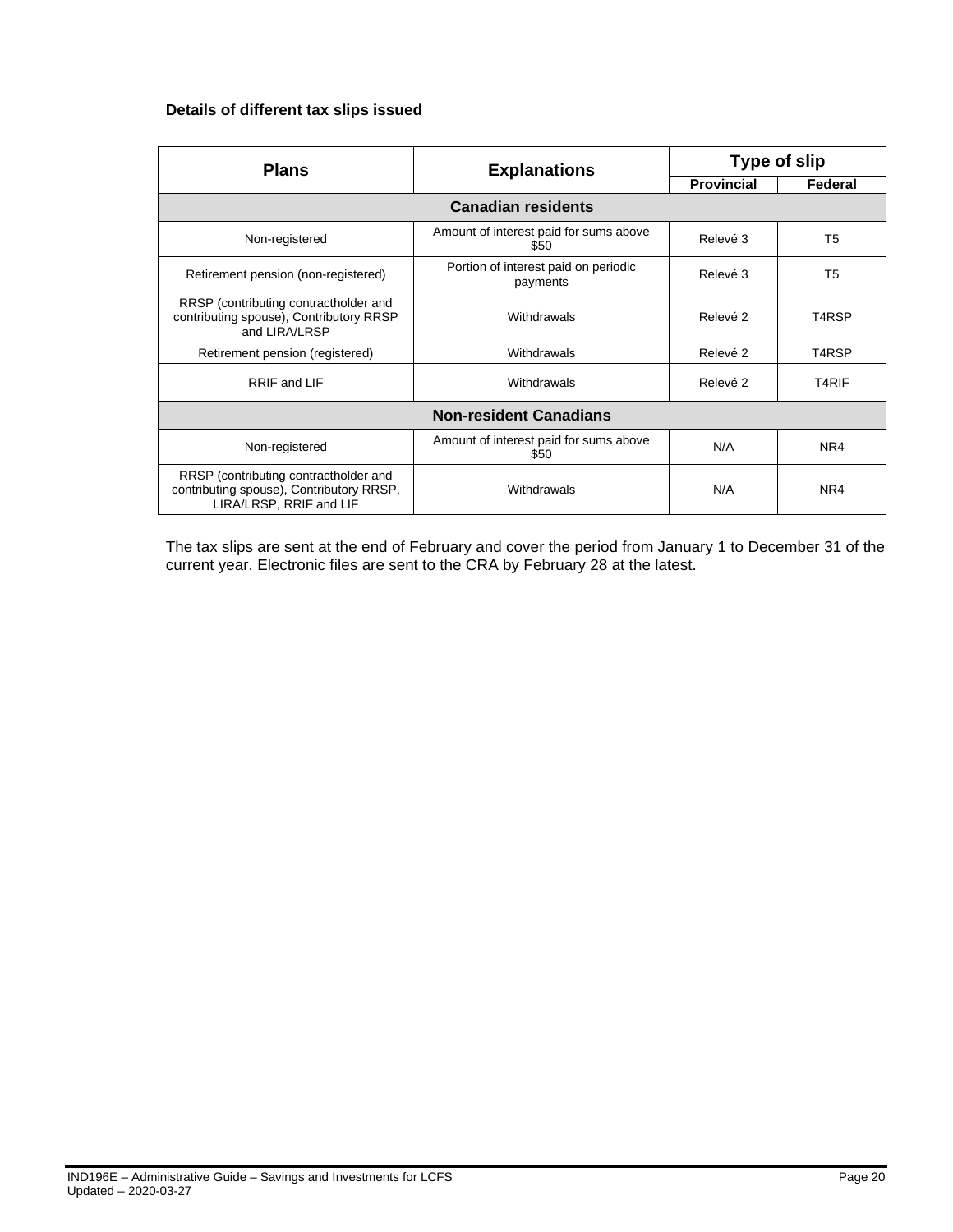### **Details of different tax slips issued**

| <b>Plans</b>                                                                                                 | <b>Explanations</b>                              | Type of slip      |         |  |  |  |
|--------------------------------------------------------------------------------------------------------------|--------------------------------------------------|-------------------|---------|--|--|--|
|                                                                                                              |                                                  | <b>Provincial</b> | Federal |  |  |  |
| <b>Canadian residents</b>                                                                                    |                                                  |                   |         |  |  |  |
| Non-registered                                                                                               | Amount of interest paid for sums above<br>\$50   | Relevé 3          | T5      |  |  |  |
| Retirement pension (non-registered)                                                                          | Portion of interest paid on periodic<br>payments | Relevé 3          | T5      |  |  |  |
| RRSP (contributing contractholder and<br>contributing spouse), Contributory RRSP<br>and LIRA/LRSP            | Withdrawals                                      | Relevé 2          | T4RSP   |  |  |  |
| Retirement pension (registered)                                                                              | Withdrawals                                      | Relevé 2          | T4RSP   |  |  |  |
| RRIF and LIF                                                                                                 | Withdrawals                                      | Relevé 2          | T4RIF   |  |  |  |
|                                                                                                              | <b>Non-resident Canadians</b>                    |                   |         |  |  |  |
| Non-registered                                                                                               | Amount of interest paid for sums above<br>\$50   | N/A               | NR4     |  |  |  |
| RRSP (contributing contractholder and<br>contributing spouse), Contributory RRSP,<br>LIRA/LRSP, RRIF and LIF | Withdrawals                                      | N/A               | NR4     |  |  |  |

The tax slips are sent at the end of February and cover the period from January 1 to December 31 of the current year. Electronic files are sent to the CRA by February 28 at the latest.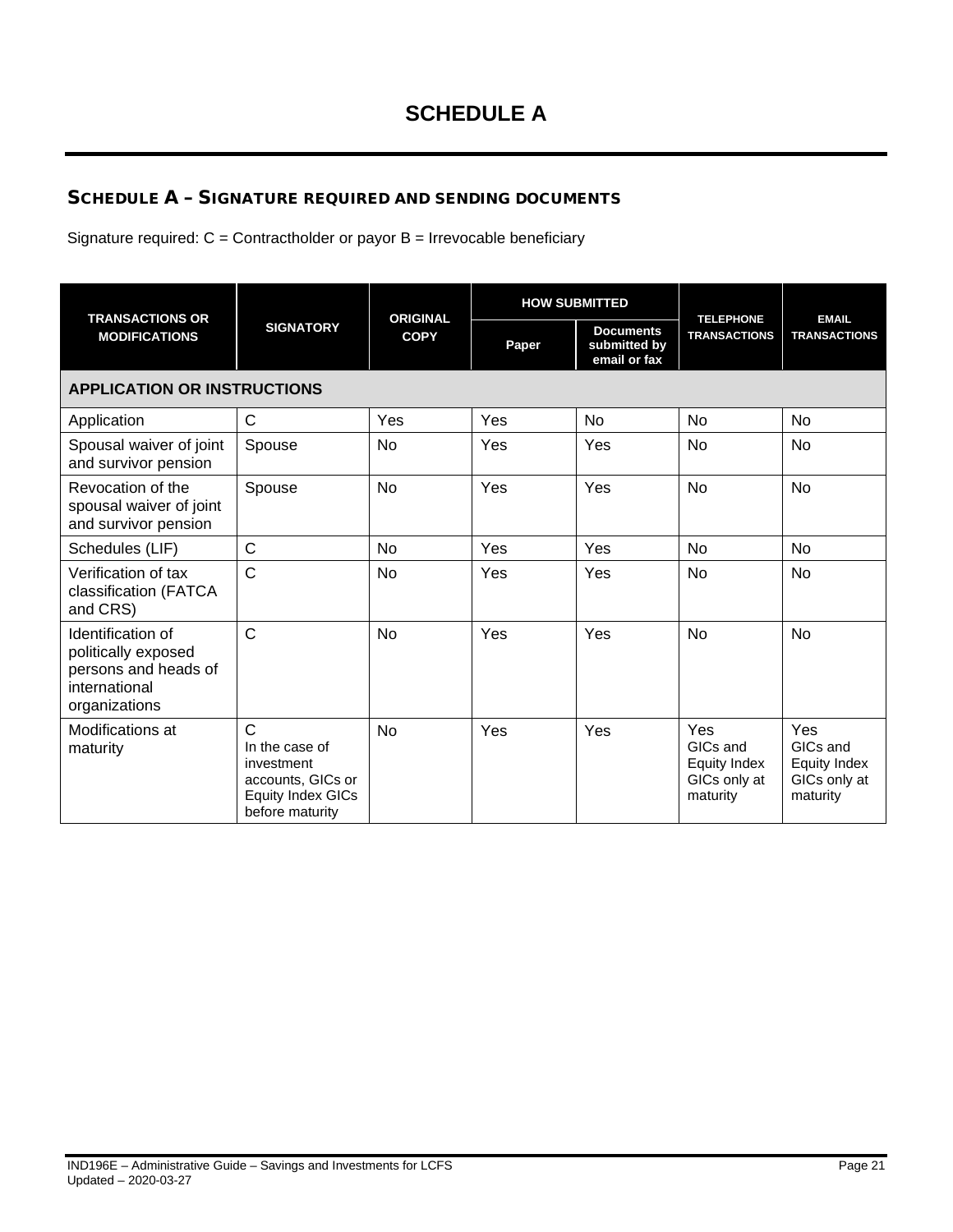# <span id="page-20-0"></span>SCHEDULE A – SIGNATURE REQUIRED AND SENDING DOCUMENTS

Signature required:  $C =$  Contractholder or payor  $B =$  Irrevocable beneficiary

| <b>TRANSACTIONS OR</b>                                                                             |                                                                                                                  | <b>ORIGINAL</b><br><b>COPY</b> |       | <b>HOW SUBMITTED</b>                             |                                                             |                                                             |  |
|----------------------------------------------------------------------------------------------------|------------------------------------------------------------------------------------------------------------------|--------------------------------|-------|--------------------------------------------------|-------------------------------------------------------------|-------------------------------------------------------------|--|
| <b>MODIFICATIONS</b>                                                                               | <b>SIGNATORY</b>                                                                                                 |                                | Paper | <b>Documents</b><br>submitted by<br>email or fax | <b>TELEPHONE</b><br><b>TRANSACTIONS</b>                     | <b>EMAIL</b><br><b>TRANSACTIONS</b>                         |  |
|                                                                                                    | <b>APPLICATION OR INSTRUCTIONS</b>                                                                               |                                |       |                                                  |                                                             |                                                             |  |
| Application                                                                                        | $\mathsf{C}$                                                                                                     | Yes                            | Yes   | <b>No</b>                                        | <b>No</b>                                                   | <b>No</b>                                                   |  |
| Spousal waiver of joint<br>and survivor pension                                                    | Spouse                                                                                                           | <b>No</b>                      | Yes   | Yes                                              | <b>No</b>                                                   | <b>No</b>                                                   |  |
| Revocation of the<br>spousal waiver of joint<br>and survivor pension                               | Spouse                                                                                                           | <b>No</b>                      | Yes   | Yes                                              | <b>No</b>                                                   | <b>No</b>                                                   |  |
| Schedules (LIF)                                                                                    | $\mathsf{C}$                                                                                                     | <b>No</b>                      | Yes   | Yes                                              | <b>No</b>                                                   | <b>No</b>                                                   |  |
| Verification of tax<br>classification (FATCA<br>and CRS)                                           | $\mathsf{C}$                                                                                                     | <b>No</b>                      | Yes   | Yes                                              | <b>No</b>                                                   | <b>No</b>                                                   |  |
| Identification of<br>politically exposed<br>persons and heads of<br>international<br>organizations | $\mathsf{C}$                                                                                                     | <b>No</b>                      | Yes   | Yes                                              | <b>No</b>                                                   | <b>No</b>                                                   |  |
| Modifications at<br>maturity                                                                       | $\mathsf{C}$<br>In the case of<br>investment<br>accounts, GICs or<br><b>Equity Index GICs</b><br>before maturity | <b>No</b>                      | Yes   | Yes                                              | Yes<br>GICs and<br>Equity Index<br>GICs only at<br>maturity | Yes<br>GICs and<br>Equity Index<br>GICs only at<br>maturity |  |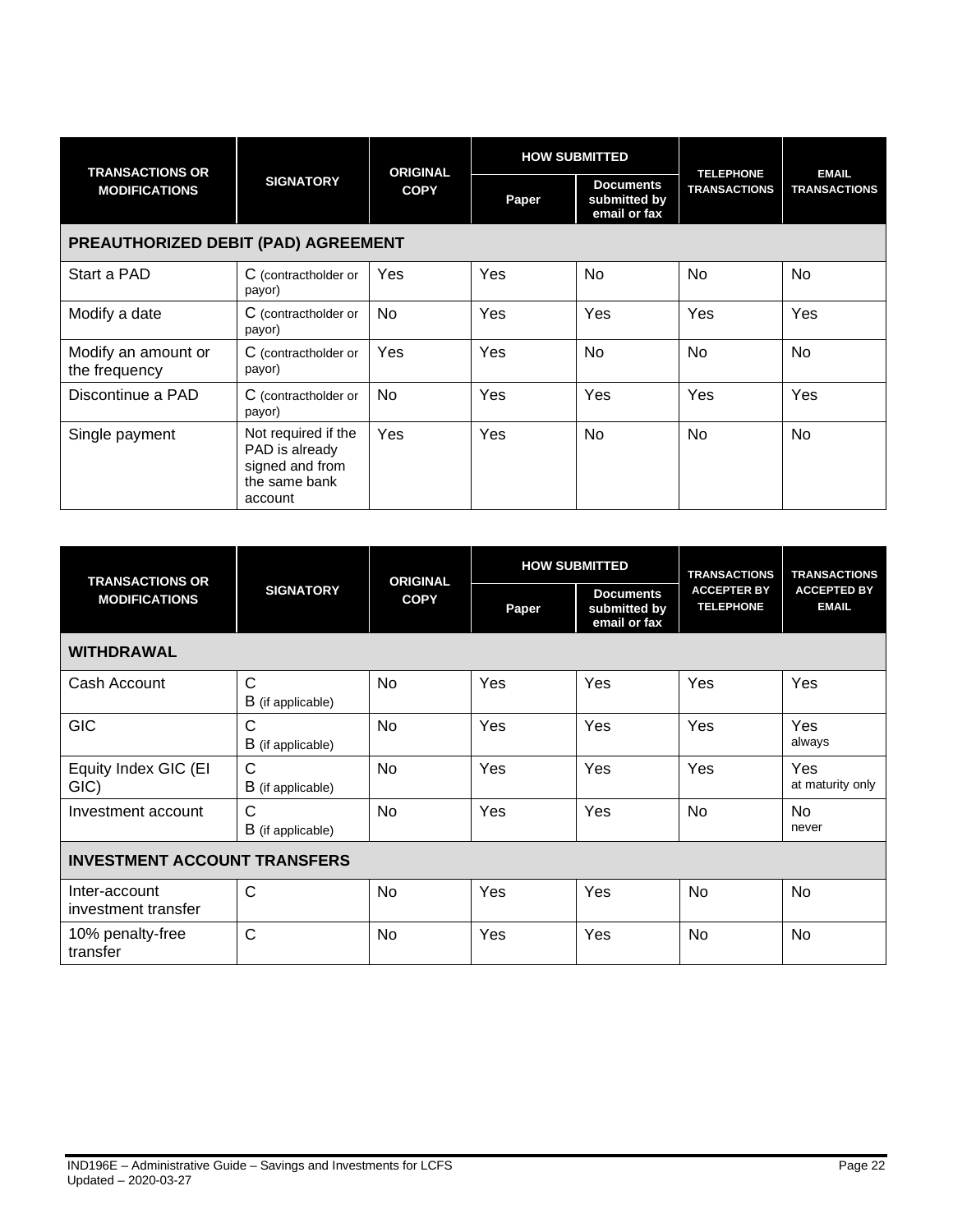| <b>TRANSACTIONS OR</b>               |                                                                                      | <b>ORIGINAL</b><br><b>COPY</b> |       |                                                  | <b>HOW SUBMITTED</b> | <b>TELEPHONE</b>    | <b>EMAIL</b> |
|--------------------------------------|--------------------------------------------------------------------------------------|--------------------------------|-------|--------------------------------------------------|----------------------|---------------------|--------------|
| <b>MODIFICATIONS</b>                 | <b>SIGNATORY</b>                                                                     |                                | Paper | <b>Documents</b><br>submitted by<br>email or fax | <b>TRANSACTIONS</b>  | <b>TRANSACTIONS</b> |              |
|                                      | PREAUTHORIZED DEBIT (PAD) AGREEMENT                                                  |                                |       |                                                  |                      |                     |              |
| Start a PAD                          | C (contractholder or<br>payor)                                                       | Yes                            | Yes   | No                                               | <b>No</b>            | No                  |              |
| Modify a date                        | C (contractholder or<br>payor)                                                       | <b>No</b>                      | Yes   | Yes                                              | Yes                  | Yes                 |              |
| Modify an amount or<br>the frequency | C (contractholder or<br>payor)                                                       | Yes                            | Yes   | No                                               | <b>No</b>            | <b>No</b>           |              |
| Discontinue a PAD                    | C (contractholder or<br>payor)                                                       | No                             | Yes   | Yes                                              | Yes                  | Yes                 |              |
| Single payment                       | Not required if the<br>PAD is already<br>signed and from<br>the same bank<br>account | Yes                            | Yes   | No                                               | <b>No</b>            | <b>No</b>           |              |

| <b>TRANSACTIONS OR</b>               |                                   | <b>ORIGINAL</b> |       | <b>HOW SUBMITTED</b>                             | <b>TRANSACTIONS</b>                    | <b>TRANSACTIONS</b>                |
|--------------------------------------|-----------------------------------|-----------------|-------|--------------------------------------------------|----------------------------------------|------------------------------------|
| <b>MODIFICATIONS</b>                 | <b>SIGNATORY</b>                  | <b>COPY</b>     | Paper | <b>Documents</b><br>submitted by<br>email or fax | <b>ACCEPTER BY</b><br><b>TELEPHONE</b> | <b>ACCEPTED BY</b><br><b>EMAIL</b> |
| <b>WITHDRAWAL</b>                    |                                   |                 |       |                                                  |                                        |                                    |
| Cash Account                         | C<br>B (if applicable)            | <b>No</b>       | Yes   | Yes                                              | Yes                                    | Yes                                |
| <b>GIC</b>                           | $\mathsf{C}$<br>B (if applicable) | <b>No</b>       | Yes   | Yes                                              | Yes                                    | Yes<br>always                      |
| Equity Index GIC (EI<br>GIC)         | C<br><b>B</b> (if applicable)     | No              | Yes   | Yes                                              | Yes                                    | Yes<br>at maturity only            |
| Investment account                   | $\mathsf{C}$<br>B (if applicable) | No              | Yes   | Yes                                              | No                                     | <b>No</b><br>never                 |
| <b>INVESTMENT ACCOUNT TRANSFERS</b>  |                                   |                 |       |                                                  |                                        |                                    |
| Inter-account<br>investment transfer | $\mathsf{C}$                      | <b>No</b>       | Yes   | Yes                                              | <b>No</b>                              | No                                 |
| 10% penalty-free<br>transfer         | $\mathsf{C}$                      | No              | Yes   | Yes                                              | No                                     | No                                 |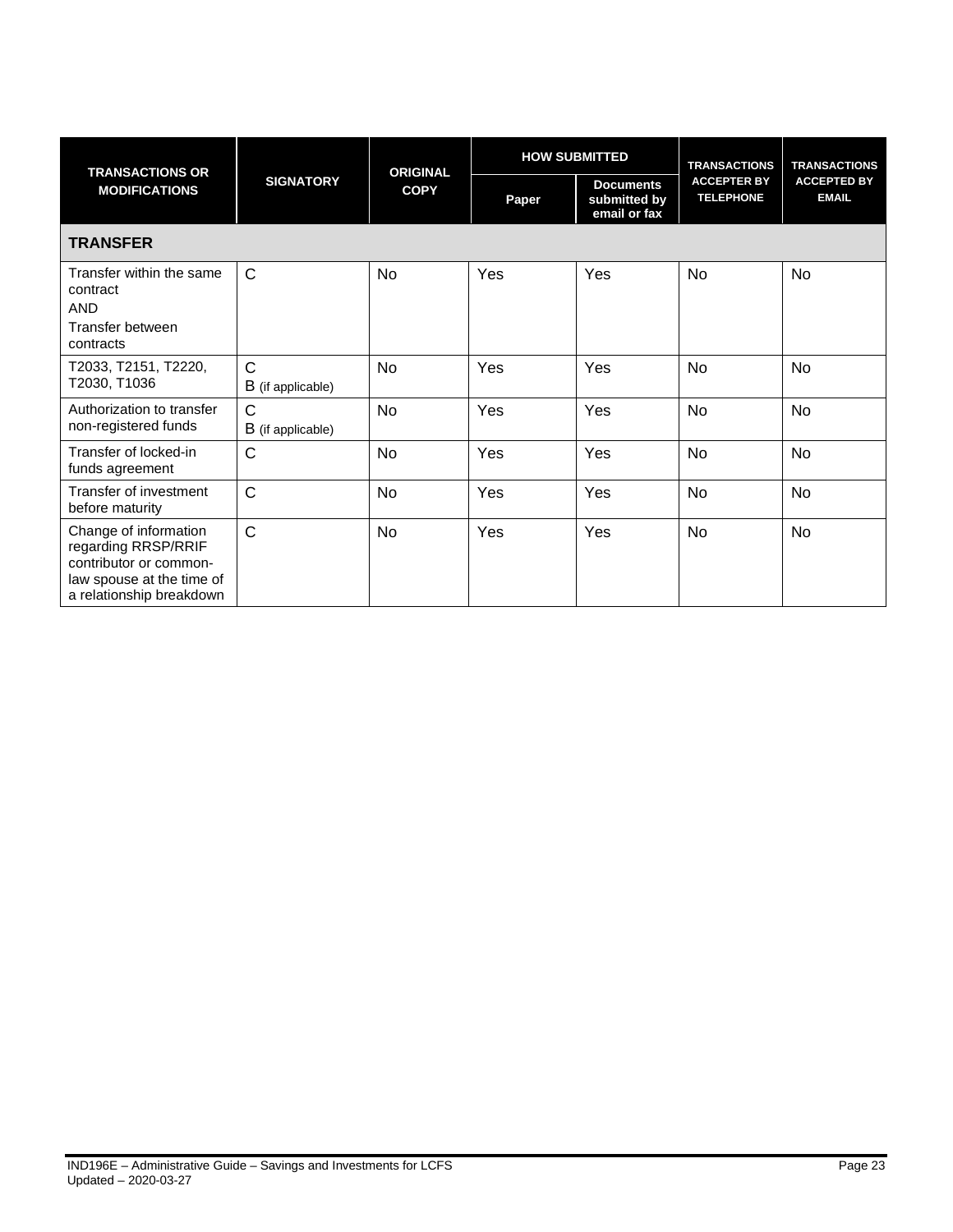| <b>TRANSACTIONS OR</b>                                                                                                          |                                   |             | <b>HOW SUBMITTED</b><br><b>ORIGINAL</b> |                                                  | <b>TRANSACTIONS</b>                    | <b>TRANSACTIONS</b>                |
|---------------------------------------------------------------------------------------------------------------------------------|-----------------------------------|-------------|-----------------------------------------|--------------------------------------------------|----------------------------------------|------------------------------------|
| <b>MODIFICATIONS</b>                                                                                                            | <b>SIGNATORY</b>                  | <b>COPY</b> | Paper                                   | <b>Documents</b><br>submitted by<br>email or fax | <b>ACCEPTER BY</b><br><b>TELEPHONE</b> | <b>ACCEPTED BY</b><br><b>EMAIL</b> |
| <b>TRANSFER</b>                                                                                                                 |                                   |             |                                         |                                                  |                                        |                                    |
| Transfer within the same<br>contract<br><b>AND</b><br>Transfer between<br>contracts                                             | $\mathsf{C}$                      | No          | Yes                                     | Yes                                              | <b>No</b>                              | No                                 |
| T2033, T2151, T2220,<br>T2030, T1036                                                                                            | $\mathsf{C}$<br>B (if applicable) | No          | Yes                                     | Yes                                              | No                                     | No                                 |
| Authorization to transfer<br>non-registered funds                                                                               | C<br>B (if applicable)            | No          | Yes                                     | Yes                                              | No                                     | No                                 |
| Transfer of locked-in<br>funds agreement                                                                                        | $\mathsf{C}$                      | No          | Yes                                     | Yes                                              | No                                     | No                                 |
| Transfer of investment<br>before maturity                                                                                       | $\mathsf C$                       | No          | Yes                                     | Yes                                              | No                                     | No                                 |
| Change of information<br>regarding RRSP/RRIF<br>contributor or common-<br>law spouse at the time of<br>a relationship breakdown | $\mathsf C$                       | No          | Yes                                     | Yes                                              | No                                     | No                                 |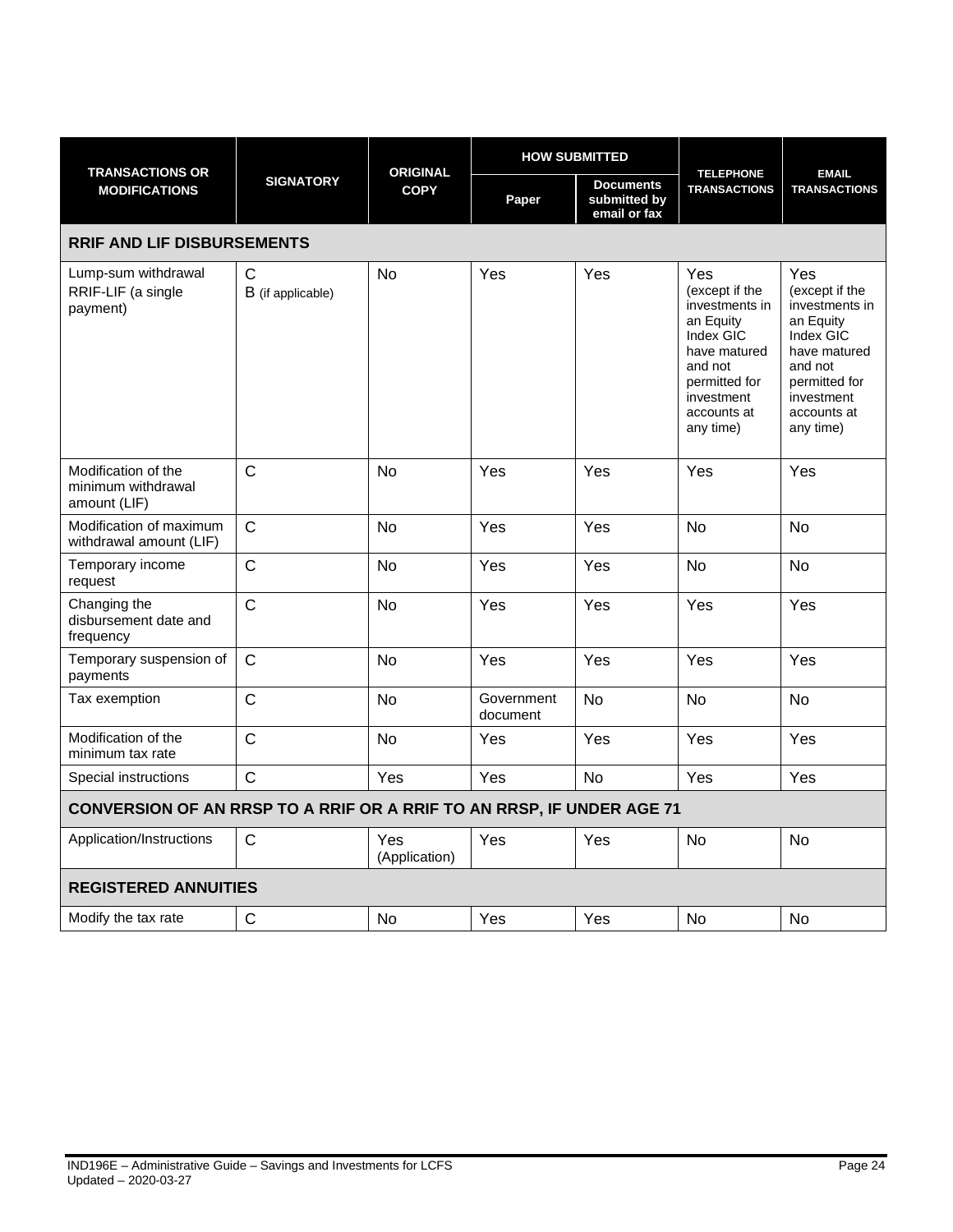|                                                                       |                        |                                |                        | <b>HOW SUBMITTED</b>                             |                                                                                                                                                         |                                                                                                                                                         |
|-----------------------------------------------------------------------|------------------------|--------------------------------|------------------------|--------------------------------------------------|---------------------------------------------------------------------------------------------------------------------------------------------------------|---------------------------------------------------------------------------------------------------------------------------------------------------------|
| <b>TRANSACTIONS OR</b><br><b>MODIFICATIONS</b>                        | <b>SIGNATORY</b>       | <b>ORIGINAL</b><br><b>COPY</b> | Paper                  | <b>Documents</b><br>submitted by<br>email or fax | <b>TELEPHONE</b><br><b>TRANSACTIONS</b>                                                                                                                 | <b>EMAIL</b><br><b>TRANSACTIONS</b>                                                                                                                     |
| <b>RRIF AND LIF DISBURSEMENTS</b>                                     |                        |                                |                        |                                                  |                                                                                                                                                         |                                                                                                                                                         |
| Lump-sum withdrawal<br>RRIF-LIF (a single<br>payment)                 | C<br>B (if applicable) | <b>No</b>                      | Yes                    | Yes                                              | Yes<br>(except if the<br>investments in<br>an Equity<br>Index GIC<br>have matured<br>and not<br>permitted for<br>investment<br>accounts at<br>any time) | Yes<br>(except if the<br>investments in<br>an Equity<br>Index GIC<br>have matured<br>and not<br>permitted for<br>investment<br>accounts at<br>any time) |
| Modification of the<br>minimum withdrawal<br>amount (LIF)             | $\mathsf{C}$           | <b>No</b>                      | Yes                    | Yes                                              | Yes                                                                                                                                                     | Yes                                                                                                                                                     |
| Modification of maximum<br>withdrawal amount (LIF)                    | $\mathsf{C}$           | <b>No</b>                      | Yes                    | Yes                                              | <b>No</b>                                                                                                                                               | No                                                                                                                                                      |
| Temporary income<br>request                                           | $\mathsf C$            | No                             | Yes                    | Yes                                              | <b>No</b>                                                                                                                                               | No                                                                                                                                                      |
| Changing the<br>disbursement date and<br>frequency                    | $\mathsf{C}$           | <b>No</b>                      | Yes                    | Yes                                              | Yes                                                                                                                                                     | Yes                                                                                                                                                     |
| Temporary suspension of<br>payments                                   | $\mathsf{C}$           | No                             | Yes                    | Yes                                              | Yes                                                                                                                                                     | Yes                                                                                                                                                     |
| Tax exemption                                                         | $\mathsf{C}$           | No                             | Government<br>document | <b>No</b>                                        | <b>No</b>                                                                                                                                               | No                                                                                                                                                      |
| Modification of the<br>minimum tax rate                               | $\mathsf{C}$           | <b>No</b>                      | Yes                    | Yes                                              | Yes                                                                                                                                                     | Yes                                                                                                                                                     |
| Special instructions                                                  | $\mathsf{C}$           | Yes                            | Yes                    | <b>No</b>                                        | Yes                                                                                                                                                     | Yes                                                                                                                                                     |
| CONVERSION OF AN RRSP TO A RRIF OR A RRIF TO AN RRSP, IF UNDER AGE 71 |                        |                                |                        |                                                  |                                                                                                                                                         |                                                                                                                                                         |
| Application/Instructions                                              | $\mathsf{C}$           | Yes<br>(Application)           | Yes                    | Yes                                              | No                                                                                                                                                      | No                                                                                                                                                      |
| <b>REGISTERED ANNUITIES</b>                                           |                        |                                |                        |                                                  |                                                                                                                                                         |                                                                                                                                                         |
| Modify the tax rate                                                   | $\mathsf{C}$           | No                             | Yes                    | Yes                                              | No                                                                                                                                                      | No                                                                                                                                                      |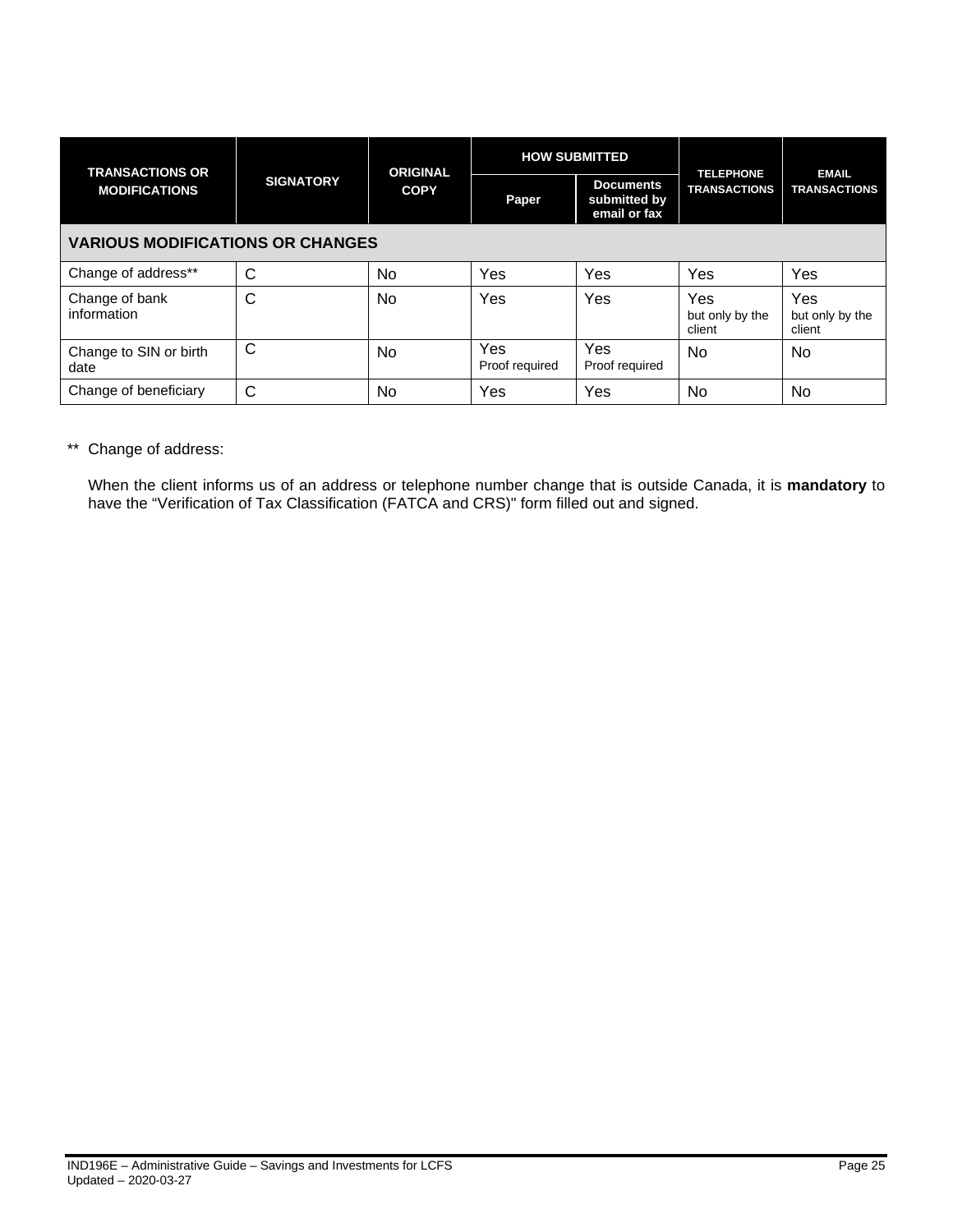| <b>TRANSACTIONS OR</b>                  |                  | <b>ORIGINAL</b> | <b>HOW SUBMITTED</b>  |                                                  | <b>TELEPHONE</b>                 | <b>EMAIL</b>                     |
|-----------------------------------------|------------------|-----------------|-----------------------|--------------------------------------------------|----------------------------------|----------------------------------|
| <b>MODIFICATIONS</b>                    | <b>SIGNATORY</b> | <b>COPY</b>     | Paper                 | <b>Documents</b><br>submitted by<br>email or fax | <b>TRANSACTIONS</b>              | <b>TRANSACTIONS</b>              |
| <b>VARIOUS MODIFICATIONS OR CHANGES</b> |                  |                 |                       |                                                  |                                  |                                  |
| Change of address**                     | C                | No              | Yes                   | Yes                                              | Yes                              | Yes                              |
| Change of bank<br>information           | C                | N <sub>o</sub>  | Yes                   | Yes                                              | Yes<br>but only by the<br>client | Yes<br>but only by the<br>client |
| Change to SIN or birth<br>date          | C                | No              | Yes<br>Proof required | Yes<br>Proof required                            | N <sub>0</sub>                   | <b>No</b>                        |
| Change of beneficiary                   | С                | No              | Yes                   | Yes                                              | No                               | No                               |

\*\* Change of address:

When the client informs us of an address or telephone number change that is outside Canada, it is **mandatory** to have the "Verification of Tax Classification (FATCA and CRS)" form filled out and signed.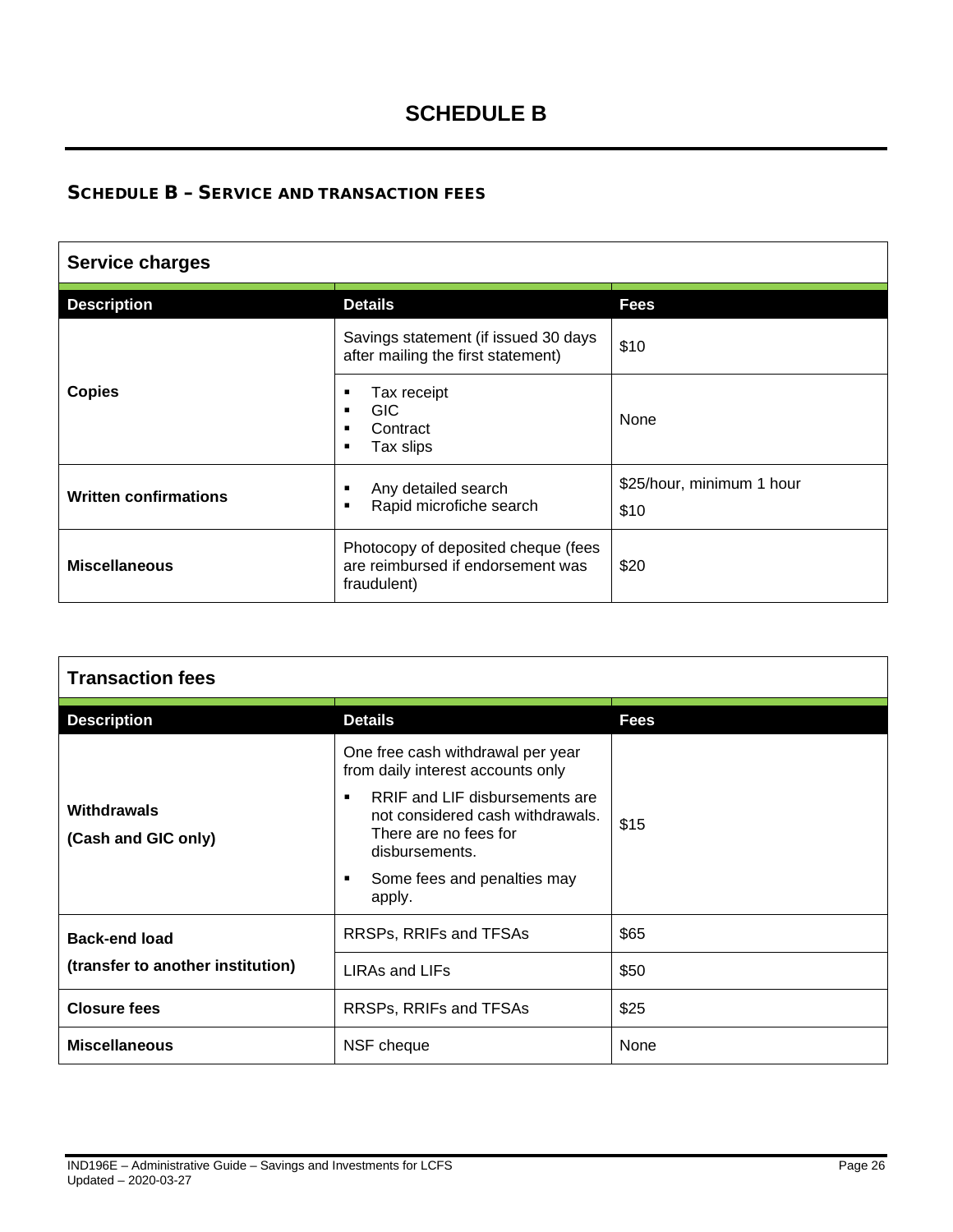# **SCHEDULE B**

# <span id="page-25-0"></span>SCHEDULE B – SERVICE AND TRANSACTION FEES

| <b>Service charges</b>       |                                                                                         |                                   |  |  |  |
|------------------------------|-----------------------------------------------------------------------------------------|-----------------------------------|--|--|--|
| <b>Description</b>           | <b>Details</b>                                                                          | Fees                              |  |  |  |
|                              | Savings statement (if issued 30 days<br>after mailing the first statement)              | \$10                              |  |  |  |
| <b>Copies</b>                | Tax receipt<br>٠<br>GIC.<br>٠<br>Contract<br>п<br>Tax slips<br>٠                        | None                              |  |  |  |
| <b>Written confirmations</b> | Any detailed search<br>٠<br>Rapid microfiche search<br>٠                                | \$25/hour, minimum 1 hour<br>\$10 |  |  |  |
| <b>Miscellaneous</b>         | Photocopy of deposited cheque (fees<br>are reimbursed if endorsement was<br>fraudulent) | \$20                              |  |  |  |

| <b>Transaction fees</b>            |                                                                                                                                                                                                                                             |             |
|------------------------------------|---------------------------------------------------------------------------------------------------------------------------------------------------------------------------------------------------------------------------------------------|-------------|
| <b>Description</b>                 | <b>Details</b>                                                                                                                                                                                                                              | <b>Fees</b> |
| Withdrawals<br>(Cash and GIC only) | One free cash withdrawal per year<br>from daily interest accounts only<br>RRIF and LIF disbursements are<br>٠.<br>not considered cash withdrawals.<br>There are no fees for<br>disbursements.<br>Some fees and penalties may<br>٠<br>apply. | \$15        |
| <b>Back-end load</b>               | RRSPs, RRIFs and TFSAs                                                                                                                                                                                                                      | \$65        |
| (transfer to another institution)  | LIRAs and LIFs                                                                                                                                                                                                                              | \$50        |
| <b>Closure fees</b>                | RRSPs, RRIFs and TFSAs                                                                                                                                                                                                                      | \$25        |
| <b>Miscellaneous</b>               | NSF cheque                                                                                                                                                                                                                                  | None        |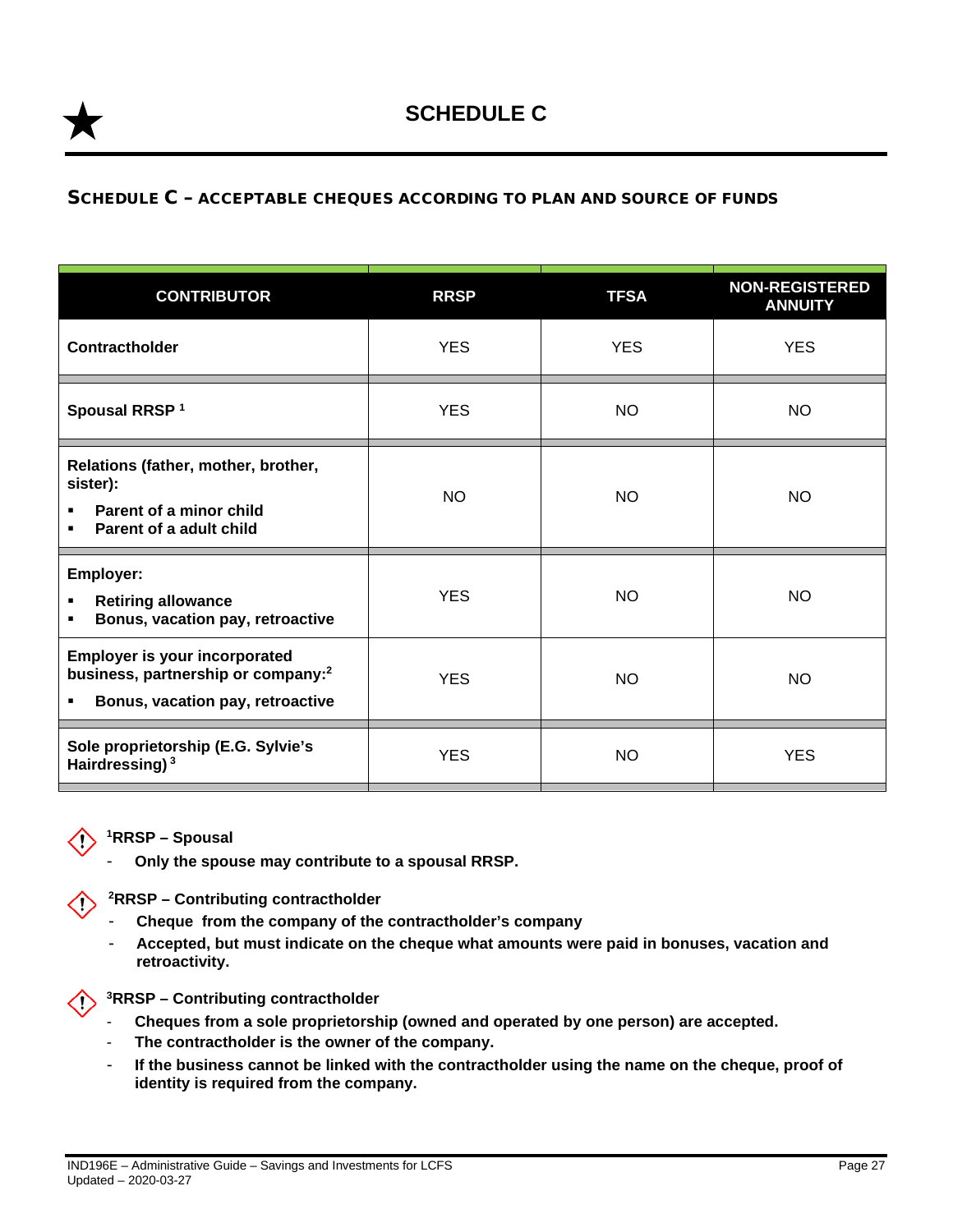### <span id="page-26-0"></span>SCHEDULE C – ACCEPTABLE CHEQUES ACCORDING TO PLAN AND SOURCE OF FUNDS

| <b>CONTRIBUTOR</b>                                                                                                              | <b>RRSP</b> | <b>TFSA</b> | <b>NON-REGISTERED</b><br><b>ANNUITY</b> |
|---------------------------------------------------------------------------------------------------------------------------------|-------------|-------------|-----------------------------------------|
| Contractholder                                                                                                                  | <b>YES</b>  | <b>YES</b>  | <b>YES</b>                              |
| Spousal RRSP <sup>1</sup>                                                                                                       | <b>YES</b>  | <b>NO</b>   | <b>NO</b>                               |
| Relations (father, mother, brother,<br>sister):<br>Parent of a minor child<br>٠<br>Parent of a adult child                      | <b>NO</b>   | <b>NO</b>   | <b>NO</b>                               |
| <b>Employer:</b><br><b>Retiring allowance</b><br>٠<br>Bonus, vacation pay, retroactive<br>٠                                     | <b>YES</b>  | <b>NO</b>   | <b>NO</b>                               |
| <b>Employer is your incorporated</b><br>business, partnership or company: <sup>2</sup><br>Bonus, vacation pay, retroactive<br>٠ | <b>YES</b>  | <b>NO</b>   | <b>NO</b>                               |
| Sole proprietorship (E.G. Sylvie's<br>Hairdressing) <sup>3</sup>                                                                | <b>YES</b>  | <b>NO</b>   | <b>YES</b>                              |



- **Only the spouse may contribute to a spousal RRSP.**

**2RRSP – Contributing contractholder**

- **Cheque from the company of the contractholder's company**
- **Accepted, but must indicate on the cheque what amounts were paid in bonuses, vacation and retroactivity.**



- **Cheques from a sole proprietorship (owned and operated by one person) are accepted.**
- The contractholder is the owner of the company.
- **If the business cannot be linked with the contractholder using the name on the cheque, proof of identity is required from the company.**